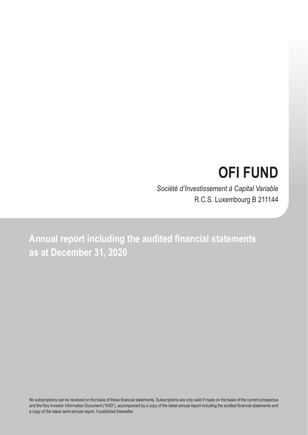# **OFI FUND**

*Société d'Investissement à Capital Variable* R.C.S. Luxembourg B 211144

**Annual report including the audited financial statements as at December 31, 2020**

No subscriptions can be received on the basis of these financial statements. Subscriptions are only valid if made on the basis of the current prospectus and the Key Investor Information Document ("KIID"), accompanied by a copy of the latest annual report including the audited financial statements and a copy of the latest semi-annual report, if published thereafter.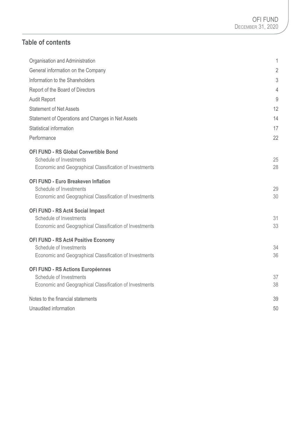# **Table of contents**

| Organisation and Administration                         | 1              |
|---------------------------------------------------------|----------------|
| General information on the Company                      | $\overline{2}$ |
| Information to the Shareholders                         | 3              |
| Report of the Board of Directors                        | 4              |
| <b>Audit Report</b>                                     | 9              |
| <b>Statement of Net Assets</b>                          | 12             |
| Statement of Operations and Changes in Net Assets       | 14             |
| Statistical information                                 | 17             |
| Performance                                             | 22             |
| <b>OFI FUND - RS Global Convertible Bond</b>            |                |
| Schedule of Investments                                 | 25             |
| Economic and Geographical Classification of Investments | 28             |
| <b>OFI FUND - Euro Breakeven Inflation</b>              |                |
| Schedule of Investments                                 | 29             |
| Economic and Geographical Classification of Investments | 30             |
| <b>OFI FUND - RS Act4 Social Impact</b>                 |                |
| Schedule of Investments                                 | 31             |
| Economic and Geographical Classification of Investments | 33             |
| <b>OFI FUND - RS Act4 Positive Economy</b>              |                |
| Schedule of Investments                                 | 34             |
| Economic and Geographical Classification of Investments | 36             |
| OFI FUND - RS Actions Européennes                       |                |
| Schedule of Investments                                 | 37             |
| Economic and Geographical Classification of Investments | 38             |
| Notes to the financial statements                       | 39             |
| Unaudited information                                   | 50             |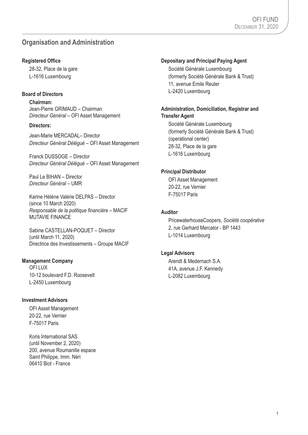# **Organisation and Administration**

### **Registered Office**

28-32, Place de la gare L-1616 Luxembourg

### **Board of Directors**

**Chairman:** Jean-Pierre GRIMAUD – Chairman *Directeur Général* – OFI Asset Management

### **Directors:**

Jean-Marie MERCADAL– Director *Directeur Général Délégué* – OFI Asset Management

Franck DUSSOGE – Director *Directeur Général Délégué* – OFI Asset Management

Paul Le BIHAN – Director *Directeur Général* – UMR

Karine Hélène Valérie DELPAS – Director (since 10 March 2020) *Responsable de la politique financière* – MACIF MUTAVIE FINANCE

Sabine CASTELLAN-POQUET – Director (until March 11, 2020) Directrice des Investissements – Groupe MACIF

### **Management Company**

**OFILUX** 10-12 boulevard F.D. Roosevelt L-2450 Luxembourg

### **Investment Advisors**

OFI Asset Management 20-22, rue Vernier F-75017 Paris

Koris International SAS (until November 2, 2020) 200, avenue Roumanille espace Saint Philippe, Imm. Néri 06410 Biot - France

### **Depositary and Principal Paying Agent**

Société Générale Luxembourg (formerly Société Générale Bank & Trust) 11, avenue Emile Reuter L-2420 Luxembourg

# **Administration, Domiciliation, Registrar and Transfer Agent**

Société Générale Luxembourg (formerly Société Générale Bank & Trust) (operational center) 28-32, Place de la gare L-1616 Luxembourg

### **Principal Distributor**

OFI Asset Management 20-22, rue Vernier F-75017 Paris

### **Auditor**

PricewaterhouseCoopers, *Société coopérative* 2, rue Gerhard Mercator - BP 1443 L-1014 Luxembourg

### **Legal Advisors**

Arendt & Medernach S.A. 41A, avenue J.F. Kennedy L-2082 Luxembourg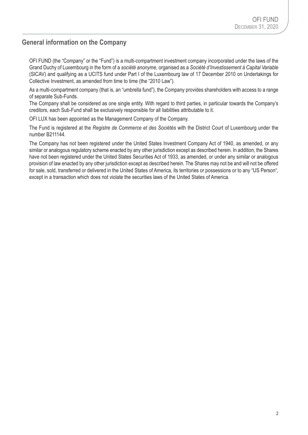# **General information on the Company**

OFI FUND (the "Company" or the "Fund") is a multi-compartment investment company incorporated under the laws of the Grand Duchy of Luxembourg in the form of a *société anonyme*, organised as a *Société d'Investissement à Capital Variable* (SICAV) and qualifying as a UCITS fund under Part I of the Luxembourg law of 17 December 2010 on Undertakings for Collective Investment, as amended from time to time (the "2010 Law").

As a multi-compartment company (that is, an "umbrella fund"), the Company provides shareholders with access to a range of separate Sub-Funds.

The Company shall be considered as one single entity. With regard to third parties, in particular towards the Company's creditors, each Sub-Fund shall be exclusively responsible for all liabilities attributable to it.

OFI LUX has been appointed as the Management Company of the Company.

The Fund is registered at the *Registre de Commerce et des Sociétés* with the District Court of Luxembourg under the number B211144.

The Company has not been registered under the United States Investment Company Act of 1940, as amended, or any similar or analogous regulatory scheme enacted by any other jurisdiction except as described herein. In addition, the Shares have not been registered under the United States Securities Act of 1933, as amended, or under any similar or analogous provision of law enacted by any other jurisdiction except as described herein. The Shares may not be and will not be offered for sale, sold, transferred or delivered in the United States of America, its territories or possessions or to any "US Person", except in a transaction which does not violate the securities laws of the United States of America.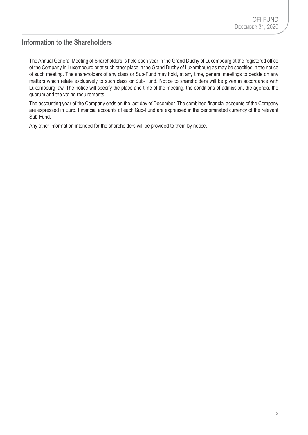# **Information to the Shareholders**

The Annual General Meeting of Shareholders is held each year in the Grand Duchy of Luxembourg at the registered office of the Company in Luxembourg or at such other place in the Grand Duchy of Luxembourg as may be specified in the notice of such meeting. The shareholders of any class or Sub-Fund may hold, at any time, general meetings to decide on any matters which relate exclusively to such class or Sub-Fund. Notice to shareholders will be given in accordance with Luxembourg law. The notice will specify the place and time of the meeting, the conditions of admission, the agenda, the quorum and the voting requirements.

The accounting year of the Company ends on the last day of December. The combined financial accounts of the Company are expressed in Euro. Financial accounts of each Sub-Fund are expressed in the denominated currency of the relevant Sub-Fund.

Any other information intended for the shareholders will be provided to them by notice.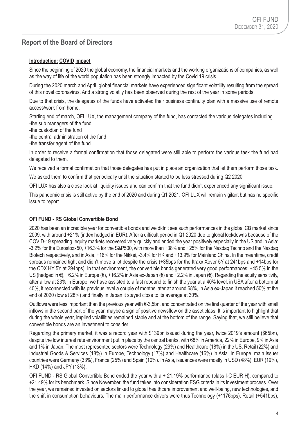# **Report of the Board of Directors**

### **Introduction: COVID impact**

Since the beginning of 2020 the global economy, the financial markets and the working organizations of companies, as well as the way of life of the world population has been strongly impacted by the Covid 19 crisis.

During the 2020 march and April, global financial markets have experienced significant volatility resulting from the spread of this novel coronavirus. And a strong volatily has been observed during the rest of the year in some periods.

Due to that crisis, the delegates of the funds have activated their business continuity plan with a massive use of remote access/work from home.

Starting end of march, OFI LUX, the management company of the fund, has contacted the various delegates including -the sub managers of the fund

- -the custodian of the fund
- -the central administration of the fund
- -the transfer agent of the fund

In order to receive a formal confirmation that those delegated were still able to perform the various task the fund had delegated to them.

We received a formal confirmation that those delegates has put in place an organization that let them perform those task.

We asked them to confirm that periodically until the situation started to be less stressed during Q2 2020.

OFI LUX has also a close look at liquidity issues and can confirm that the fund didn't experienced any significant issue.

This pandemic crisis is still active by the end of 2020 and during Q1 2021. OFI LUX will remain vigilant but has no specific issue to report.

### **OFI FUND - RS Global Convertible Bond**

2020 has been an incredible year for convertible bonds and we didn't see such performances in the global CB market since 2009, with around +21% (index hedged in EUR). After a difficult period in Q1 2020 due to global lockdowns because of the COVID-19 spreading, equity markets recovered very quickly and ended the year positively especially in the US and in Asia: -3.2% for the Eurostoxx50, +16.3% for the S&P500, with more than +38% and +25% for the Nasdaq Techno and the Nasdaq Biotech respectively, and in Asia, +16% for the Nikkei, -3.4% for HK and +13.9% for Mainland China. In the meantime, credit spreads remained tight and didn't move a lot despite the crisis (+35bps for the Itraxx Xover 5Y at 241bps and +14bps for the CDX HY 5Y at 294bps). In that environment, the convertible bonds generated very good performances: +45.5% in the US (hedged in €), +6.2% in Europe (€), +16.2% in Asia ex-Japan (€) and +2.2% in Japan (€). Regarding the equity sensitivity, after a low at 23% in Europe, we have assisted to a fast rebound to finish the year at a 40% level, in USA after a bottom at 40%, it reconnected with its previous level a couple of months later at around 68%, in Asia ex-Japan it reached 50% at the end of 2020 (low at 28%) and finally in Japan it stayed close to its average at 30%.

Outflows were less important than the previous year with €-3,5bn, and concentrated on the first quarter of the year with small inflows in the second part of the year, maybe a sign of positive newsflow on the asset class. It is important to highlight that during the whole year, implied volatilities remained stable and at the bottom of the range. Saying that, we still believe that convertible bonds are an investment to consider.

Regarding the primary market, it was a record year with \$139bn issued during the year, twice 2019's amount (\$65bn), despite the low interest rate environment put in place by the central banks, with 68% in America, 22% in Europe, 9% in Asia and 1% in Japan. The most represented sectors were Technology (29%) and Healthcare (18%) in the US, Retail (22%) and Industrial Goods & Services (18%) in Europe, Technology (17%) and Healthcare (16%) in Asia. In Europe, main issuer countries were Germany (33%), France (25%) and Spain (10%). In Asia, issuances were mostly in USD (48%), EUR (19%), HKD (14%) and JPY (13%).

OFI FUND - RS Global Convertible Bond ended the year with a + 21.19% performance (class I-C EUR H), compared to +21.49% for its benchmark. Since November, the fund takes into consideration ESG criteria in its investment process. Over the year, we remained invested on sectors linked to global healthcare improvement and well-being, new technologies, and the shift in consumption behaviours. The main performance drivers were thus Technology (+1176bps), Retail (+541bps),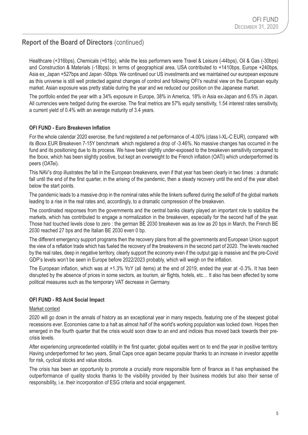Healthcare (+316bps), Chemicals (+61bp), while the less performers were Travel & Leisure (-44bps), Oil & Gas (-30bps) and Construction & Materials (-18bps). In terms of geographical area, USA contributed to +1410bps, Europe +240bps, Asia ex\_Japan +527bps and Japan -50bps. We continued our US investments and we maintained our european exposure as this universe is still well protected against changes of control and following OFI's neutral view on the European equity market. Asian exposure was pretty stable during the year and we reduced our position on the Japanese market.

The portfolio ended the year with a 34% exposure in Europe, 38% in America, 18% in Asia ex-Japan and 6.5% in Japan. All currencies were hedged during the exercise. The final metrics are 57% equity sensitivity, 1.54 interest rates sensitivity, a current yield of 0.4% with an average maturity of 3.4 years.

### **OFI FUND - Euro Breakeven Inflation**

For the whole calendar 2020 exercise, the fund registered a net performance of -4.00% (class I-XL-C EUR), compared with its iBoxx EUR Breakeven 7-15Y benchmark which registered a drop of -3.46%. No massive changes has occurred in the fund and its positioning due to its process. We have been slightly under-exposed to the breakeven sensitivity compared to the Iboxx, which has been slightly positive, but kept an overweight to the French inflation (OATi) which underperformed its peers (OATei).

This NAV's drop illustrates the fall in the European breakevens, even if that year has been clearly in two times : a dramatic fall until the end of the first quarter, in the arising of the pandemic, then a steady recovery until the end of the year albeit below the start points.

The pandemic leads to a massive drop in the nominal rates while the linkers suffered during the selloff of the global markets leading to a rise in the real rates and, accordingly, to a dramatic compression of the breakeven.

The coordinated responses from the governments and the central banks clearly played an important role to stabilize the markets, which has contributed to engage a normalization in the breakeven, especially for the second half of the year. Those had touched levels close to zero : the german BE 2030 breakeven was as low as 20 bps in March, the French BE 2030 reached 27 bps and the Italian BE 2030 even 0 bp.

The different emergency support programs then the recovery plans from all the governments and European Union support the view of a reflation trade which has fueled the recovery of the breakevens in the second part of 2020. The levels reached by the real rates, deep in negative territory, clearly support the economy even if the output gap is massive and the pre-Covid GDP's levels won't be seen in Europe before 2022/2023 probably, which will weigh on the inflation.

The European inflation, which was at +1.3% YoY (all items) at the end of 2019, ended the year at -0.3%. It has been disrupted by the absence of prices in some sectors, as tourism, air flights, hotels, etc… It also has been affected by some political measures such as the temporary VAT decrease in Germany.

### **OFI FUND - RS Act4 Social Impact**

#### Market context

2020 will go down in the annals of history as an exceptional year in many respects, featuring one of the steepest global recessions ever. Economies came to a halt as almost half of the world's working population was locked down. Hopes then emerged in the fourth quarter that the crisis would soon draw to an end and indices thus moved back towards their precrisis levels.

After experiencing unprecedented volatility in the first quarter, global equities went on to end the year in positive territory. Having underperformed for two years, Small Caps once again became popular thanks to an increase in investor appetite for risk, cyclical stocks and value stocks.

The crisis has been an opportunity to promote a crucially more responsible form of finance as it has emphasised the outperformance of quality stocks thanks to the visibility provided by their business models but also their sense of responsibility, i.e. their incorporation of ESG criteria and social engagement.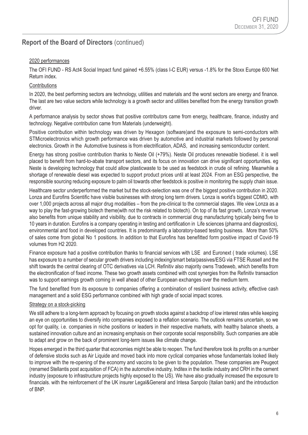### 2020 performances

The OFI FUND - RS Act4 Social Impact fund gained +6.55% (class I-C EUR) versus -1.8% for the Stoxx Europe 600 Net Return index.

### **Contributions**

In 2020, the best performing sectors are technology, utilities and materials and the worst sectors are energy and finance. The last are two value sectors while technology is a growth sector and utilities benefited from the energy transition growth driver.

A performance analysis by sector shows that positive contributors came from energy, healthcare, finance, industry and technology. Negative contribution came from Materials (underweight).

Positive contribution within technology was driven by Hexagon (software)and the exposure to semi-conductors with STMicroelectronics which growth performance was driven by automotive and industrial markets followed by personal electronics. Growth in the Automotive business is from electrification, ADAS, and increasing semiconductor content.

Energy has strong positive contribution thanks to Neste Oil (+79%). Neste Oil produces renewable biodiesel. it is well placed to benefit from hard-to-abate transport sectors, and its focus on innovation can drive significant opportunities. eg Neste is developing technology that could allow plasticwaste to be used as feedstock in crude oil refining. Meanwhile a shortage of renewable diesel was expected to support product prices until at least 2024. From an ESG perspective, the responsible sourcing reducing exposure to palm oil towards other feedstock is positive in monitoring the supply chain issue.

Healthcare sector underperformed the market but the stock-selection was one of the biggest positive contribution in 2020. Lonza and Eurofins Scientific have visible businesses with strong long term drivers. Lonza is world's biggest CDMO, with over 1,000 projects across all major drug modalities – from the pre-clinical to the commercial stages. We view Lonza as a way to play the fast-growing biotech theme(with not the risk related to biotech). On top of its fast growth, Lonza's revenue also benefits from unique stability and visibility, due to contracts in commercial drug manufacturing typically being five to 10 years in duration. Eurofins is a company operating in testing and certification in Life sciences (pharma and diagnostics), environmental and food in developed countries. It is predominantly a laboratory-based testing business. More than 50% of sales come from global No 1 positions. In addition to that Eurofins has benefitted form positive impact of Covid-19 volumes from H2 2020.

Finance exposure had a positive contribution thanks to financial services with LSE and Euronext ( trade volumes). LSE has exposure to a number of secular growth drivers including indexing/smart beta/passives/ESG via FTSE Russell and the shift towards the central clearing of OTC derivatives via LCH. Refinitiv also majority owns Tradeweb, which benefits from the electronification of fixed income. These two growth assets combined with cost synergies from the Refinitiv transaction was to support earnings growth coming in well ahead of other European exchanges over the medium term.

The fund benefited from its exposure to companies offering a combination of resilient business activity, effective cash management and a solid ESG performance combined with high grade of social impact scores.

### Strategy on a stock-picking

We still adhere to a long-term approach by focusing on growth stocks against a backdrop of low interest rates while keeping an eye on opportunities to diversify into companies exposed to a reflation scenario. The outlook remains uncertain, so we opt for quality, i.e. companies in niche positions or leaders in their respective markets, with healthy balance sheets, a sustained innovation culture and an increasing emphasis on their corporate social responsibility. Such companies are able to adapt and grow on the back of prominent long-term issues like climate change.

Hopes emerged in the third quarter that economies might be able to reopen. The fund therefore took its profits on a number of defensive stocks such as Air Liquide and moved back into more cyclical companies whose fundamentals looked likely to improve with the re-opening of the economy and vaccins to be given to the population. These companies are Peugeot (renamed Stellantis post acquisition of FCA) in the automotive industry, Inditex in the textile industry and CRH in the cement industry (exposure to infrastructure projects highly exposed to the US). We have also gradually increased the exposure to financials. with the reinforcement of the UK insurer Legal&General and Intesa Sanpolo (Italian bank) and the introduction of BNP.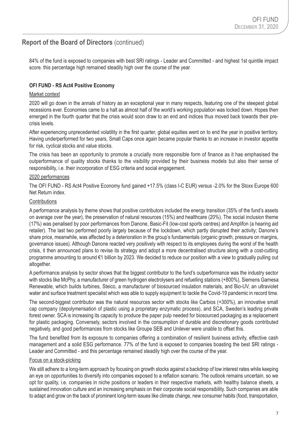84% of the fund is exposed to companies with best SRI ratings - Leader and Committed - and highest 1st quintile impact score, this percentage high remained steadily high over the course of the year.

### **OFI FUND - RS Act4 Positive Economy**

### Market context

2020 will go down in the annals of history as an exceptional year in many respects, featuring one of the steepest global recessions ever. Economies came to a halt as almost half of the world's working population was locked down. Hopes then emerged in the fourth quarter that the crisis would soon draw to an end and indices thus moved back towards their precrisis levels.

After experiencing unprecedented volatility in the first quarter, global equities went on to end the year in positive territory. Having underperformed for two years, Small Caps once again became popular thanks to an increase in investor appetite for risk, cyclical stocks and value stocks.

The crisis has been an opportunity to promote a crucially more responsible form of finance as it has emphasised the outperformance of quality stocks thanks to the visibility provided by their business models but also their sense of responsibility, i.e. their incorporation of ESG criteria and social engagement.

### 2020 performances

The OFI FUND - RS Act4 Positive Economy fund gained +17.5% (class I-C EUR) versus -2.0% for the Stoxx Europe 600 Net Return index.

#### **Contributions**

A performance analysis by theme shows that positive contributors included the energy transition (35% of the fund's assets on average over the year), the preservation of natural resources (15%) and healthcare (20%). The social inclusion theme (17%) was penalised by poor performances from Danone, Basic-Fit (low-cost sports centres) and Amplifon (a hearing aid retailer). The last two performed poorly largely because of the lockdown, which partly disrupted their activity; Danone's share price, meanwhile, was affected by a deterioration in the group's fundamentals (organic growth, pressure on margins, governance issues). Although Danone reacted very positively with respect to its employees during the worst of the health crisis, it then announced plans to revise its strategy and adopt a more decentralised structure along with a cost-cutting programme amounting to around €1 billion by 2023. We decided to reduce our position with a view to gradually pulling out altogether.

A performance analysis by sector shows that the biggest contributor to the fund's outperformance was the industry sector with stocks like McPhy, a manufacturer of green hydrogen electrolysers and refuelling stations (+800%), Siemens Gamesa Renewable, which builds turbines, Steico, a manufacturer of biosourced insulation materials, and Bio-UV, an ultraviolet water and surface treatment specialist which was able to supply equipment to tackle the Covid-19 pandemic in record time.

The second-biggest contributor was the natural resources sector with stocks like Carbios (+300%), an innovative small cap company (depolymerisation of plastic using a proprietary enzymatic process), and SCA, Sweden's leading private forest owner. SCA is increasing its capacity to produce the paper pulp needed for biosourced packaging as a replacement for plastic packaging. Conversely, sectors involved in the consumption of durable and discretionary goods contributed negatively, and good performances from stocks like Groupe SEB and Unilever were unable to offset this.

The fund benefited from its exposure to companies offering a combination of resilient business activity, effective cash management and a solid ESG performance. 77% of the fund is exposed to companies boasting the best SRI ratings - Leader and Committed - and this percentage remained steadily high over the course of the year.

#### Focus on a stock-picking

We still adhere to a long-term approach by focusing on growth stocks against a backdrop of low interest rates while keeping an eye on opportunities to diversify into companies exposed to a reflation scenario. The outlook remains uncertain, so we opt for quality, i.e. companies in niche positions or leaders in their respective markets, with healthy balance sheets, a sustained innovation culture and an increasing emphasis on their corporate social responsibility. Such companies are able to adapt and grow on the back of prominent long-term issues like climate change, new consumer habits (food, transportation,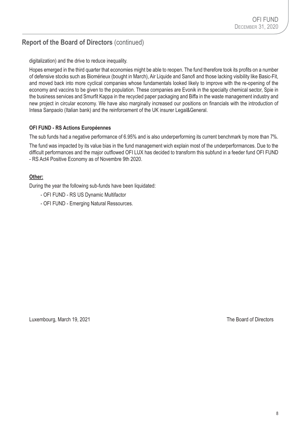digitalization) and the drive to reduce inequality.

Hopes emerged in the third quarter that economies might be able to reopen. The fund therefore took its profits on a number of defensive stocks such as Biomérieux (bought in March), Air Liquide and Sanofi and those lacking visibility like Basic-Fit, and moved back into more cyclical companies whose fundamentals looked likely to improve with the re-opening of the economy and vaccins to be given to the population. These companies are Evonik in the specialty chemical sector, Spie in the business services and Smurfit Kappa in the recycled paper packaging and Biffa in the waste management industry and new project in circular economy. We have also marginally increased our positions on financials with the introduction of Intesa Sanpaolo (Italian bank) and the reinforcement of the UK insurer Legal&General.

### **OFI FUND - RS Actions Européennes**

The sub funds had a negative performance of 6.95% and is also underperforming its current benchmark by more than 7%.

The fund was impacted by its value bias in the fund management wich explain most of the underperformances. Due to the difficult performances and the major outflowed OFI LUX has decided to transform this subfund in a feeder fund OFI FUND - RS Act4 Positive Economy as of Novembre 9th 2020.

### **Other:**

During the year the following sub-funds have been liquidated:

- OFI FUND RS US Dynamic Multifactor
- OFI FUND Emerging Natural Ressources.

Luxembourg, March 19, 2021 **The Board of Directors**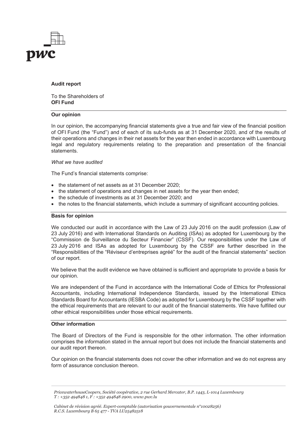

#### **Audit report**

To the Shareholders of **OFI Fund**

#### **Our opinion**

In our opinion, the accompanying financial statements give a true and fair view of the financial position of OFI Fund (the "Fund") and of each of its sub-funds as at 31 December 2020, and of the results of their operations and changes in their net assets for the year then ended in accordance with Luxembourg legal and regulatory requirements relating to the preparation and presentation of the financial statements.

#### *What we have audited*

The Fund's financial statements comprise:

- the statement of net assets as at 31 December 2020;
- the statement of operations and changes in net assets for the year then ended:
- the schedule of investments as at 31 December 2020; and
- the notes to the financial statements, which include a summary of significant accounting policies.

#### **Basis for opinion**

We conducted our audit in accordance with the Law of 23 July 2016 on the audit profession (Law of 23 July 2016) and with International Standards on Auditing (ISAs) as adopted for Luxembourg by the "Commission de Surveillance du Secteur Financier" (CSSF). Our responsibilities under the Law of 23 July 2016 and ISAs as adopted for Luxembourg by the CSSF are further described in the "Responsibilities of the "Réviseur d'entreprises agréé" for the audit of the financial statements" section of our report.

We believe that the audit evidence we have obtained is sufficient and appropriate to provide a basis for our opinion.

We are independent of the Fund in accordance with the International Code of Ethics for Professional Accountants, including International Independence Standards, issued by the International Ethics Standards Board for Accountants (IESBA Code) as adopted for Luxembourg by the CSSF together with the ethical requirements that are relevant to our audit of the financial statements. We have fulfilled our other ethical responsibilities under those ethical requirements.

#### **Other information**

The Board of Directors of the Fund is responsible for the other information. The other information comprises the information stated in the annual report but does not include the financial statements and our audit report thereon.

Our opinion on the financial statements does not cover the other information and we do not express any form of assurance conclusion thereon.

*PricewaterhouseCoopers, Société coopérative, 2 rue Gerhard Mercator, B.P. 1443, L-1014 Luxembourg T : +352 494848 1, F : +352 494848 2900, www.pwc.lu*

*Cabinet de révision agréé. Expert-comptable (autorisation gouvernementale n°10028256) R.C.S. Luxembourg B 65 477 - TVA LU25482518*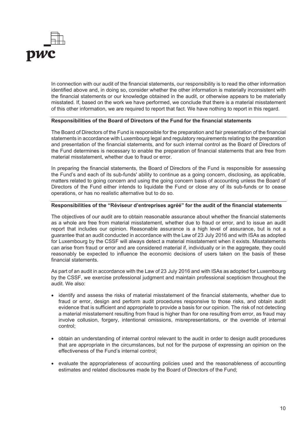

In connection with our audit of the financial statements, our responsibility is to read the other information identified above and, in doing so, consider whether the other information is materially inconsistent with the financial statements or our knowledge obtained in the audit, or otherwise appears to be materially misstated. If, based on the work we have performed, we conclude that there is a material misstatement of this other information, we are required to report that fact. We have nothing to report in this regard.

#### **Responsibilities of the Board of Directors of the Fund for the financial statements**

The Board of Directors of the Fund is responsible for the preparation and fair presentation of the financial statements in accordance with Luxembourg legal and regulatory requirements relating to the preparation and presentation of the financial statements, and for such internal control as the Board of Directors of the Fund determines is necessary to enable the preparation of financial statements that are free from material misstatement, whether due to fraud or error.

In preparing the financial statements, the Board of Directors of the Fund is responsible for assessing the Fund's and each of its sub-funds' ability to continue as a going concern, disclosing, as applicable, matters related to going concern and using the going concern basis of accounting unless the Board of Directors of the Fund either intends to liquidate the Fund or close any of its sub-funds or to cease operations, or has no realistic alternative but to do so.

#### **Responsibilities of the "Réviseur d'entreprises agréé" for the audit of the financial statements**

The objectives of our audit are to obtain reasonable assurance about whether the financial statements as a whole are free from material misstatement, whether due to fraud or error, and to issue an audit report that includes our opinion. Reasonable assurance is a high level of assurance, but is not a guarantee that an audit conducted in accordance with the Law of 23 July 2016 and with ISAs as adopted for Luxembourg by the CSSF will always detect a material misstatement when it exists. Misstatements can arise from fraud or error and are considered material if, individually or in the aggregate, they could reasonably be expected to influence the economic decisions of users taken on the basis of these financial statements.

As part of an audit in accordance with the Law of 23 July 2016 and with ISAs as adopted for Luxembourg by the CSSF, we exercise professional judgment and maintain professional scepticism throughout the audit. We also:

- identify and assess the risks of material misstatement of the financial statements, whether due to fraud or error, design and perform audit procedures responsive to those risks, and obtain audit evidence that is sufficient and appropriate to provide a basis for our opinion. The risk of not detecting a material misstatement resulting from fraud is higher than for one resulting from error, as fraud may involve collusion, forgery, intentional omissions, misrepresentations, or the override of internal control;
- obtain an understanding of internal control relevant to the audit in order to design audit procedures that are appropriate in the circumstances, but not for the purpose of expressing an opinion on the effectiveness of the Fund's internal control;
- evaluate the appropriateness of accounting policies used and the reasonableness of accounting estimates and related disclosures made by the Board of Directors of the Fund;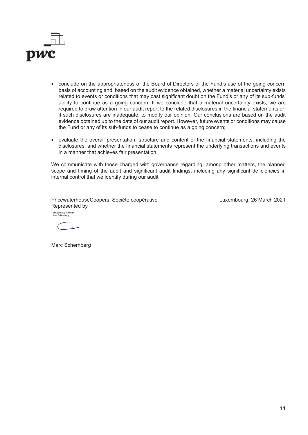

- conclude on the appropriateness of the Board of Directors of the Fund's use of the going concern basis of accounting and, based on the audit evidence obtained, whether a material uncertainty exists related to events or conditions that may cast significant doubt on the Fund's or any of its sub-funds' ability to continue as a going concern. If we conclude that a material uncertainty exists, we are required to draw attention in our audit report to the related disclosures in the financial statements or, if such disclosures are inadequate, to modify our opinion. Our conclusions are based on the audit evidence obtained up to the date of our audit report. However, future events or conditions may cause the Fund or any of its sub-funds to cease to continue as a going concern;
- evaluate the overall presentation, structure and content of the financial statements, including the disclosures, and whether the financial statements represent the underlying transactions and events in a manner that achieves fair presentation.

We communicate with those charged with governance regarding, among other matters, the planned scope and timing of the audit and significant audit findings, including any significant deficiencies in internal control that we identify during our audit.

PricewaterhouseCoopers, Société coopérative Represented by Electronically signed by:<br>Marc Schernberg

Luxembourg, 26 March 2021

 $\overline{1}$ 

Marc Schernberg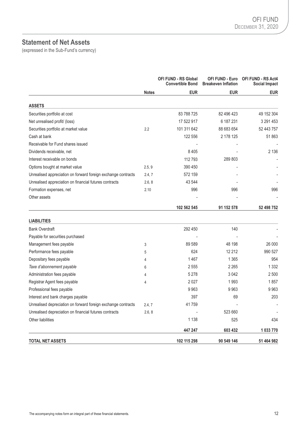# **Statement of Net Assets**

(expressed in the Sub-Fund's currency)

|                                                               |              | <b>OFI FUND - RS Global</b><br><b>Convertible Bond</b> | OFI FUND - Euro<br><b>Breakeven Inflation</b> | OFI FUND - RS Act4<br>Social Impact |
|---------------------------------------------------------------|--------------|--------------------------------------------------------|-----------------------------------------------|-------------------------------------|
|                                                               | <b>Notes</b> | <b>EUR</b>                                             | <b>EUR</b>                                    | <b>EUR</b>                          |
| <b>ASSETS</b>                                                 |              |                                                        |                                               |                                     |
| Securities portfolio at cost                                  |              | 83 788 725                                             | 82 496 423                                    | 49 152 304                          |
| Net unrealised profit/ (loss)                                 |              | 17 522 917                                             | 6 187 231                                     | 3 291 453                           |
| Securities portfolio at market value                          | 2.2          | 101 311 642                                            | 88 683 654                                    | 52 443 757                          |
| Cash at bank                                                  |              | 122 556                                                | 2 178 125                                     | 51 863                              |
| Receivable for Fund shares issued                             |              |                                                        |                                               |                                     |
| Dividends receivable, net                                     |              | 8 4 0 5                                                |                                               | 2 1 3 6                             |
| Interest receivable on bonds                                  |              | 112793                                                 | 289 803                                       |                                     |
| Options bought at market value                                | 2.5, 9       | 390 450                                                |                                               |                                     |
| Unrealised appreciation on forward foreign exchange contracts | 2.4, 7       | 572 159                                                |                                               |                                     |
| Unrealised appreciation on financial futures contracts        | 2.6, 8       | 43 544                                                 |                                               |                                     |
| Formation expenses, net                                       | 2.10         | 996                                                    | 996                                           | 996                                 |
| Other assets                                                  |              |                                                        |                                               |                                     |
|                                                               |              | 102 562 545                                            | 91 152 578                                    | 52 498 752                          |
| <b>LIABILITIES</b>                                            |              |                                                        |                                               |                                     |
| <b>Bank Overdraft</b>                                         |              | 292 450                                                | 140                                           |                                     |
| Payable for securities purchased                              |              |                                                        |                                               |                                     |
| Management fees payable                                       | 3            | 89 589                                                 | 48 198                                        | 26 000                              |
| Performance fees payable                                      | 5            | 624                                                    | 12 2 12                                       | 990 527                             |
| Depositary fees payable                                       | 4            | 1467                                                   | 1 3 6 5                                       | 954                                 |
| Taxe d'abonnement payable                                     | 6            | 2555                                                   | 2 2 6 5                                       | 1 3 3 2                             |
| Administration fees payable                                   | 4            | 5 2 7 8                                                | 3 0 4 2                                       | 2 500                               |
| Registrar Agent fees payable                                  | 4            | 2027                                                   | 1993                                          | 1857                                |
| Professional fees payable                                     |              | 9963                                                   | 9963                                          | 9963                                |
| Interest and bank charges payable                             |              | 397                                                    | 69                                            | 203                                 |
| Unrealised depreciation on forward foreign exchange contracts | 2.4, 7       | 41759                                                  |                                               |                                     |
| Unrealised depreciation on financial futures contracts        | 2.6, 8       |                                                        | 523 660                                       |                                     |
| Other liabilities                                             |              | 1 1 3 8                                                | 525                                           | 434                                 |
|                                                               |              | 447 247                                                | 603 432                                       | 1 033 770                           |
| <b>TOTAL NET ASSETS</b>                                       |              | 102 115 298                                            | 90 549 146                                    | 51 464 982                          |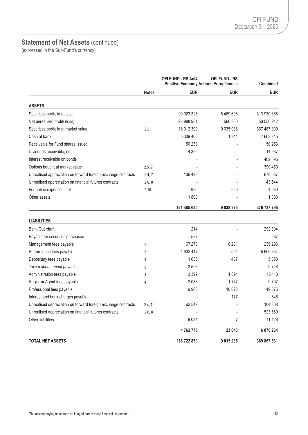# **Statement of Net Assets** (continued)

(expressed in the Sub-Fund's currency)

|                                                               |              | <b>OFI FUND - RS Act4</b><br><b>OFI FUND - RS</b><br>Positive Economy Actions Européennes |               | <b>Combined</b> |  |
|---------------------------------------------------------------|--------------|-------------------------------------------------------------------------------------------|---------------|-----------------|--|
|                                                               | <b>Notes</b> | <b>EUR</b>                                                                                | <b>EUR</b>    | <b>EUR</b>      |  |
| <b>ASSETS</b>                                                 |              |                                                                                           |               |                 |  |
| Securities portfolio at cost                                  |              | 90 023 328                                                                                | 8 4 6 9 6 0 8 | 313 930 388     |  |
| Net unrealised profit/ (loss)                                 |              | 25 988 981                                                                                | 566 330       | 53 556 912      |  |
| Securities portfolio at market value                          | 2.2          | 116 012 309                                                                               | 9 035 938     | 367 487 300     |  |
| Cash at bank                                                  |              | 5 309 460                                                                                 | 1 3 4 1       | 7 663 345       |  |
| Receivable for Fund shares issued                             |              | 50 253                                                                                    |               | 50 253          |  |
| Dividends receivable, net                                     |              | 4 3 9 6                                                                                   |               | 14 9 37         |  |
| Interest receivable on bonds                                  |              |                                                                                           |               | 402 596         |  |
| Options bought at market value                                | 2.5, 9       |                                                                                           |               | 390 450         |  |
| Unrealised appreciation on forward foreign exchange contracts | 2.4, 7       | 106 428                                                                                   |               | 678 587         |  |
| Unrealised appreciation on financial futures contracts        | 2.6, 8       |                                                                                           |               | 43 544          |  |
| Formation expenses, net                                       | 2.10         | 996                                                                                       | 996           | 4 9 8 0         |  |
| Other assets                                                  |              | 1803                                                                                      |               | 1803            |  |
|                                                               |              | 121 485 645                                                                               | 9 038 275     | 376 737 795     |  |
| <b>LIABILITIES</b>                                            |              |                                                                                           |               |                 |  |
| <b>Bank Overdraft</b>                                         |              | 214                                                                                       |               | 292 804         |  |
| Payable for securities purchased                              |              | 587                                                                                       |               | 587             |  |
| Management fees payable                                       | 3            | 67 278                                                                                    | 8 2 3 1       | 239 296         |  |
| Performance fees payable                                      | 5            | 4 602 447                                                                                 | 524           | 5 606 334       |  |
| Depositary fees payable                                       | 4            | 1635                                                                                      | 437           | 5858            |  |
| Taxe d'abonnement payable                                     | 6            | 3596                                                                                      |               | 9748            |  |
| Administration fees payable                                   | 4            | 3 3 9 9                                                                                   | 1894          | 16 113          |  |
| Registrar Agent fees payable                                  | 4            | 2083                                                                                      | 1747          | 9707            |  |
| Professional fees payable                                     |              | 9963                                                                                      | 10 0 23       | 49 875          |  |
| Interest and bank charges payable                             |              |                                                                                           | 177           | 846             |  |
| Unrealised depreciation on forward foreign exchange contracts | 2.4, 7       | 62 549                                                                                    |               | 104 308         |  |
| Unrealised depreciation on financial futures contracts        | 2.6, 8       |                                                                                           |               | 523 660         |  |
| Other liabilities                                             |              | 9024                                                                                      | 7             | 11 1 28         |  |
|                                                               |              | 4762775                                                                                   | 23 040        | 6 870 264       |  |
| <b>TOTAL NET ASSETS</b>                                       |              | 116 722 870                                                                               | 9 015 235     | 369 867 531     |  |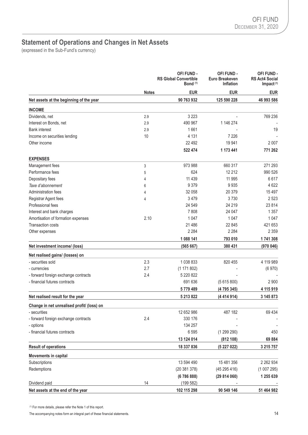# **Statement of Operations and Changes in Net Assets**

(expressed in the Sub-Fund's currency)

|                                            |              | OFI FUND -<br><b>RS Global Convertible</b><br>Bond $(1)$ | OFI FUND -<br>Euro Breakeven<br><b>Inflation</b> | OFI FUND -<br><b>RS Act4 Social</b><br>Impact $(1)$ |
|--------------------------------------------|--------------|----------------------------------------------------------|--------------------------------------------------|-----------------------------------------------------|
|                                            | <b>Notes</b> | <b>EUR</b>                                               | <b>EUR</b>                                       | <b>EUR</b>                                          |
| Net assets at the beginning of the year    |              | 90 763 932                                               | 125 590 228                                      | 46 993 586                                          |
| <b>INCOME</b>                              |              |                                                          |                                                  |                                                     |
| Dividends, net                             | 2.9          | 3 2 2 3                                                  |                                                  | 769 236                                             |
| Interest on Bonds, net                     | 2.9          | 490 967                                                  | 1 146 274                                        |                                                     |
| <b>Bank interest</b>                       | 2.9          | 1661                                                     |                                                  | 19                                                  |
| Income on securities lending               | 10           | 4 1 3 1                                                  | 7 2 2 6                                          |                                                     |
| Other income                               |              | 22 4 9 2                                                 | 19 941                                           | 2 0 0 7                                             |
|                                            |              | 522 474                                                  | 1 173 441                                        | 771 262                                             |
| <b>EXPENSES</b>                            |              |                                                          |                                                  |                                                     |
| Management fees                            | 3            | 973 988                                                  | 660 317                                          | 271 293                                             |
| Performance fees                           | 5            | 624                                                      | 12 212                                           | 990 526                                             |
| Depositary fees                            | 4            | 11 4 3 9                                                 | 11 995                                           | 6617                                                |
| Taxe d'abonnement                          | 6            | 9 3 7 9                                                  | 9935                                             | 4 6 22                                              |
| <b>Administration fees</b>                 | 4            | 32 058                                                   | 20 379                                           | 15 4 9 7                                            |
| Registrar Agent fees                       | 4            | 3479                                                     | 3730                                             | 2 5 2 3                                             |
| Professional fees                          |              | 24 549                                                   | 24 219                                           | 23 8 14                                             |
| Interest and bank charges                  |              | 7808                                                     | 24 047                                           | 1 3 5 7                                             |
| Amortisation of formation expenses         | 2.10         | 1 0 4 7                                                  | 1 0 4 7                                          | 1 0 4 7                                             |
| <b>Transaction costs</b>                   |              | 21 48 6                                                  | 22 845                                           | 421 653                                             |
| Other expenses                             |              | 2 2 8 4                                                  | 2 2 8 4                                          | 2 3 5 9                                             |
|                                            |              | 1 088 141                                                | 793 010                                          | 1741308                                             |
| Net investment income/ (loss)              |              | (565667)                                                 | 380 431                                          | (970046)                                            |
| Net realised gains/ (losses) on            |              |                                                          |                                                  |                                                     |
| - securities sold                          | 2.3          | 1038833                                                  | 820 455                                          | 4 119 989                                           |
| - currencies                               | 2.7          | (1171802)                                                |                                                  | (6970)                                              |
| - forward foreign exchange contracts       | 2.4          | 5 220 822                                                |                                                  |                                                     |
| - financial futures contracts              |              | 691 636                                                  | (5615800)                                        | 2 900                                               |
|                                            |              | 5779489                                                  | (4795345)                                        | 4 115 919                                           |
| Net realised result for the year           |              | 5 213 822                                                | (4414914)                                        | 3 145 873                                           |
| Change in net unrealised profit/ (loss) on |              |                                                          |                                                  |                                                     |
| - securities                               |              | 12 652 986                                               | 487 182                                          | 69 434                                              |
| - forward foreign exchange contracts       | 2.4          | 330 176                                                  |                                                  |                                                     |
| - options                                  |              | 134 257                                                  |                                                  |                                                     |
| - financial futures contracts              |              | 6 5 9 5                                                  | (1299290)                                        | 450                                                 |
|                                            |              | 13 124 014                                               | (812 108)                                        | 69 884                                              |
| <b>Result of operations</b>                |              | 18 337 836                                               | (5227022)                                        | 3 215 757                                           |
| Movements in capital                       |              |                                                          |                                                  |                                                     |
| Subscriptions                              |              | 13 594 490                                               | 15 481 356                                       | 2 2 6 2 9 3 4                                       |
| Redemptions                                |              | (20381378)                                               | (45295416)                                       | (1007295)                                           |
|                                            |              | (678688)                                                 | (29814060)                                       | 1 255 639                                           |
| Dividend paid                              | 14           | (199582)                                                 |                                                  |                                                     |
| Net assets at the end of the year          |              | 102 115 298                                              | 90 549 146                                       | 51 464 982                                          |

(1) For more details, please refer the Note 1 of this report.

The accompanying notes form an integral part of these financial statements. 14<br>
14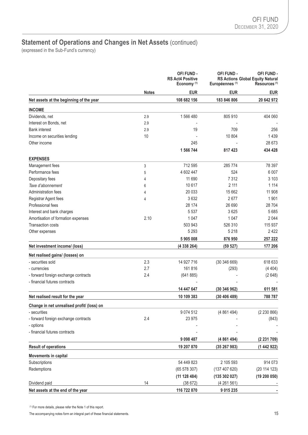# **Statement of Operations and Changes in Net Assets (continued)**

(expressed in the Sub-Fund's currency)

|                                            | <b>Notes</b> | <b>OFI FUND -</b><br><b>RS Act4 Positive</b><br>Economy <sup>(1)</sup> | OFI FUND -<br>Européennes <sup>(1)</sup> | <b>OFI FUND -</b><br><b>RS Actions Global Equity Natural</b><br>Resources <sup>(1)</sup> |
|--------------------------------------------|--------------|------------------------------------------------------------------------|------------------------------------------|------------------------------------------------------------------------------------------|
|                                            |              | <b>EUR</b>                                                             | <b>EUR</b>                               | <b>EUR</b>                                                                               |
| Net assets at the beginning of the year    |              | 108 682 156                                                            | 183 846 806                              | 20 642 972                                                                               |
| <b>INCOME</b>                              |              |                                                                        |                                          |                                                                                          |
| Dividends, net                             | 2.9          | 1566480                                                                | 805 910                                  | 404 060                                                                                  |
| Interest on Bonds, net                     | 2.9          |                                                                        |                                          |                                                                                          |
| <b>Bank interest</b>                       | 2.9          | 19                                                                     | 709                                      | 256                                                                                      |
| Income on securities lending               | 10           |                                                                        | 10 804                                   | 1 4 3 9                                                                                  |
| Other income                               |              | 245                                                                    |                                          | 28 673                                                                                   |
|                                            |              | 1 566 744                                                              | 817 423                                  | 434 428                                                                                  |
| <b>EXPENSES</b>                            |              |                                                                        |                                          |                                                                                          |
| Management fees                            | 3            | 712 595                                                                | 285 774                                  | 78 397                                                                                   |
| Performance fees                           | 5            | 4 602 447                                                              | 524                                      | 6 0 0 7                                                                                  |
| Depositary fees                            | 4            | 11 690                                                                 | 7312                                     | 3 1 0 3                                                                                  |
| Taxe d'abonnement                          | 6            | 10 617                                                                 | 2 111                                    | 1 1 1 4                                                                                  |
| <b>Administration fees</b>                 | 4            | 20 033                                                                 | 15 662                                   | 11 908                                                                                   |
| Registrar Agent fees                       | 4            | 3632                                                                   | 2677                                     | 1 901                                                                                    |
| Professional fees                          |              | 28 174                                                                 | 26 690                                   | 28 704                                                                                   |
| Interest and bank charges                  |              | 5 5 3 7                                                                | 3625                                     | 5685                                                                                     |
| Amortisation of formation expenses         | 2.10         | 1 0 4 7                                                                | 1 0 4 7                                  | 2044                                                                                     |
| <b>Transaction costs</b>                   |              | 503 943                                                                | 526 310                                  | 115 937                                                                                  |
| Other expenses                             |              | 5 2 9 3                                                                | 5 2 1 8                                  | 2422                                                                                     |
|                                            |              | 5905008                                                                | 876950                                   | 257 222                                                                                  |
| Net investment income/ (loss)              |              | (4 338 264)                                                            | (59 527)                                 | 177 206                                                                                  |
| Net realised gains/ (losses) on            |              |                                                                        |                                          |                                                                                          |
| - securities sold                          | 2.3          | 14 927 716                                                             | (30346669)                               | 618 633                                                                                  |
| - currencies                               | 2.7          | 161816                                                                 | (293)                                    | (4404)                                                                                   |
| - forward foreign exchange contracts       | 2.4          | (641885)                                                               |                                          | (2648)                                                                                   |
| - financial futures contracts              |              |                                                                        |                                          |                                                                                          |
|                                            |              | 14 447 647                                                             | (30 346 962)                             | 611 581                                                                                  |
| Net realised result for the year           |              | 10 109 383                                                             | (30 406 489)                             | 788 787                                                                                  |
| Change in net unrealised profit/ (loss) on |              |                                                                        |                                          |                                                                                          |
| - securities                               |              | 9 0 7 4 5 1 2                                                          | (4861494)                                | (2 230 866)                                                                              |
| - forward foreign exchange contracts       | 2.4          | 23 975                                                                 |                                          | (843)                                                                                    |
| - options                                  |              |                                                                        |                                          |                                                                                          |
| - financial futures contracts              |              |                                                                        |                                          |                                                                                          |
|                                            |              | 9 0 9 8 4 8 7                                                          | (4861494)                                | (2231709)                                                                                |
| <b>Result of operations</b>                |              | 19 207 870                                                             | (35267983)                               | (1442922)                                                                                |
| Movements in capital                       |              |                                                                        |                                          |                                                                                          |
| Subscriptions                              |              | 54 449 823                                                             | 2 105 593                                | 914 073                                                                                  |
| Redemptions                                |              | (65578307)                                                             | (137 407 620)                            | (20 114 123)                                                                             |
|                                            |              | (11 128 484)                                                           | (135 302 027)                            | (19200050)                                                                               |
| Dividend paid                              | 14           | (38672)                                                                | (4261561)                                |                                                                                          |
| Net assets at the end of the year          |              | 116 722 870                                                            | 9 015 235                                |                                                                                          |

(1) For more details, please refer the Note 1 of this report.

The accompanying notes form an integral part of these financial statements. 15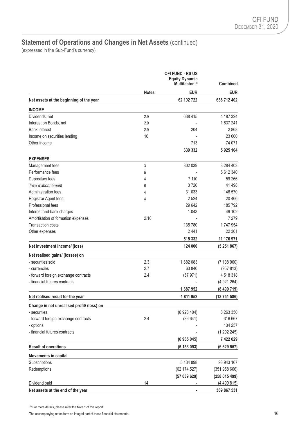# **Statement of Operations and Changes in Net Assets (continued)**

(expressed in the Sub-Fund's currency)

|                                            |              | <b>Combined</b> |              |
|--------------------------------------------|--------------|-----------------|--------------|
|                                            | <b>Notes</b> | <b>EUR</b>      | <b>EUR</b>   |
| Net assets at the beginning of the year    |              | 62 192 722      | 638 712 402  |
| <b>INCOME</b>                              |              |                 |              |
| Dividends, net                             | 2.9          | 638 415         | 4 187 324    |
| Interest on Bonds, net                     | 2.9          |                 | 1637241      |
| <b>Bank interest</b>                       | 2.9          | 204             | 2868         |
| Income on securities lending               | 10           |                 | 23 600       |
| Other income                               |              | 713             | 74 071       |
|                                            |              | 639 332         | 5925104      |
| <b>EXPENSES</b>                            |              |                 |              |
| Management fees                            | 3            | 302 039         | 3 284 403    |
| Performance fees                           | 5            |                 | 5 612 340    |
| Depositary fees                            | 4            | 7 1 1 0         | 59 266       |
| Taxe d'abonnement                          | 6            | 3720            | 41 498       |
| Administration fees                        | 4            | 31 0 33         | 146 570      |
| Registrar Agent fees                       | 4            | 2524            | 20466        |
| Professional fees                          |              | 29 642          | 185 792      |
| Interest and bank charges                  |              | 1 0 4 3         | 49 102       |
| Amortisation of formation expenses         | 2.10         |                 | 7 2 7 9      |
| <b>Transaction costs</b>                   |              | 135 780         | 1747954      |
| Other expenses                             |              | 2441            | 22 301       |
|                                            |              | 515 332         | 11 176 971   |
| Net investment income/ (loss)              |              | 124 000         | (5251867)    |
| Net realised gains/ (losses) on            |              |                 |              |
| - securities sold                          | 2.3          | 1682083         | (7138960)    |
| - currencies                               | 2.7          | 63 840          | (957 813)    |
| - forward foreign exchange contracts       | 2.4          | (57971)         | 4518318      |
| - financial futures contracts              |              |                 | (4921264)    |
|                                            |              | 1687952         | (8499719)    |
| Net realised result for the year           |              | 1811952         | (13 751 586) |
| Change in net unrealised profit/ (loss) on |              |                 |              |
| - securities                               |              | (6928404)       | 8 263 350    |
| - forward foreign exchange contracts       | 2.4          | (36641)         | 316 667      |
| - options                                  |              |                 | 134 257      |
| - financial futures contracts              |              |                 | (1292245)    |
|                                            |              | (6965045)       | 7 422 029    |
| <b>Result of operations</b>                |              | (5153093)       | (6329557)    |
| Movements in capital                       |              |                 |              |
| Subscriptions                              |              | 5 134 898       | 93 943 167   |
| Redemptions                                |              | (62 174 527)    | (35195866)   |
|                                            |              | (57039629)      | (258015499)  |
| Dividend paid                              | 14           |                 | (4499815)    |
| Net assets at the end of the year          |              |                 | 369 867 531  |

(1) For more details, please refer the Note 1 of this report.

The accompanying notes form an integral part of these financial statements. 16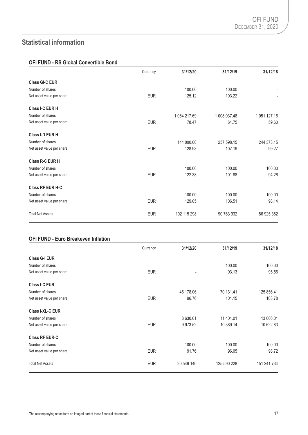# **Statistical information**

# **OFI FUND - RS Global Convertible Bond**

|                           | Currency   | 31/12/20     | 31/12/19     | 31/12/18     |
|---------------------------|------------|--------------|--------------|--------------|
| <b>Class GI-C EUR</b>     |            |              |              |              |
| Number of shares          |            | 100.00       | 100.00       |              |
| Net asset value per share | <b>EUR</b> | 125.12       | 103.22       |              |
| Class I-C EUR H           |            |              |              |              |
| Number of shares          |            | 1 064 217.69 | 1 008 037.48 | 1 051 127.16 |
| Net asset value per share | <b>EUR</b> | 78.47        | 64.75        | 59.60        |
| Class I-D EUR H           |            |              |              |              |
| Number of shares          |            | 144 000.00   | 237 598.15   | 244 373.15   |
| Net asset value per share | <b>EUR</b> | 128.93       | 107.19       | 99.27        |
| Class R-C EUR H           |            |              |              |              |
| Number of shares          |            | 100.00       | 100.00       | 100.00       |
| Net asset value per share | <b>EUR</b> | 122.38       | 101.88       | 94.26        |
| <b>Class RF EUR H-C</b>   |            |              |              |              |
| Number of shares          |            | 100.00       | 100.00       | 100.00       |
| Net asset value per share | <b>EUR</b> | 129.05       | 106.51       | 98.14        |
| <b>Total Net Assets</b>   | <b>EUR</b> | 102 115 298  | 90 763 932   | 86 925 382   |

### **OFI FUND - Euro Breakeven Inflation**

|                           | Currency   | 31/12/20   | 31/12/19    | 31/12/18    |
|---------------------------|------------|------------|-------------|-------------|
| <b>Class G-I EUR</b>      |            |            |             |             |
| Number of shares          |            | -          | 100.00      | 100.00      |
| Net asset value per share | <b>EUR</b> |            | 93.13       | 95.56       |
| <b>Class I-C EUR</b>      |            |            |             |             |
| Number of shares          |            | 46 178.06  | 70 131.41   | 125 856.41  |
| Net asset value per share | <b>EUR</b> | 96.76      | 101.15      | 103.78      |
| Class I-XL-C EUR          |            |            |             |             |
| Number of shares          |            | 8 630.01   | 11 404.01   | 13 006.01   |
| Net asset value per share | <b>EUR</b> | 9973.52    | 10 389.14   | 10 622.83   |
| <b>Class RF EUR-C</b>     |            |            |             |             |
| Number of shares          |            | 100.00     | 100.00      | 100.00      |
| Net asset value per share | <b>EUR</b> | 91.76      | 96.05       | 98.72       |
| <b>Total Net Assets</b>   | <b>EUR</b> | 90 549 146 | 125 590 228 | 151 241 734 |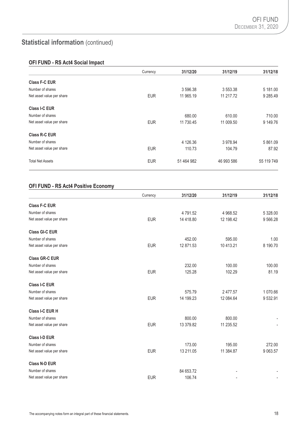# **OFI FUND - RS Act4 Social Impact**

|                           | Currency   | 31/12/20   | 31/12/19   | 31/12/18   |
|---------------------------|------------|------------|------------|------------|
| <b>Class F-C EUR</b>      |            |            |            |            |
| Number of shares          |            | 3 596.38   | 3 553.38   | 5 181.00   |
| Net asset value per share | <b>EUR</b> | 11 965.19  | 11 217.72  | 9 285.49   |
| Class I-C EUR             |            |            |            |            |
| Number of shares          |            | 680.00     | 610.00     | 710.00     |
| Net asset value per share | <b>EUR</b> | 11 730.45  | 11 009.50  | 9 149.76   |
| Class R-C EUR             |            |            |            |            |
| Number of shares          |            | 4 126.36   | 3 978.94   | 5 861.09   |
| Net asset value per share | <b>EUR</b> | 110.73     | 104.79     | 87.92      |
| <b>Total Net Assets</b>   | <b>EUR</b> | 51 464 982 | 46 993 586 | 55 119 749 |

# **OFI FUND - RS Act4 Positive Economy**

|                           | Currency   | 31/12/20  | 31/12/19  | 31/12/18 |
|---------------------------|------------|-----------|-----------|----------|
| <b>Class F-C EUR</b>      |            |           |           |          |
| Number of shares          |            | 4791.52   | 4 968.52  | 5 328,00 |
| Net asset value per share | <b>EUR</b> | 14 418.80 | 12 198.42 | 9 566.28 |
| <b>Class GI-C EUR</b>     |            |           |           |          |
| Number of shares          |            | 452.00    | 595.00    | 1.00     |
| Net asset value per share | <b>EUR</b> | 12 871.53 | 10 413.21 | 8 190.70 |
| <b>Class GR-C EUR</b>     |            |           |           |          |
| Number of shares          |            | 232.00    | 100.00    | 100.00   |
| Net asset value per share | <b>EUR</b> | 125.28    | 102.29    | 81.19    |
| <b>Class I-C EUR</b>      |            |           |           |          |
| Number of shares          |            | 575.79    | 2 477.57  | 1 070.66 |
| Net asset value per share | <b>EUR</b> | 14 199.23 | 12 084.64 | 9532.91  |
| Class I-C EUR H           |            |           |           |          |
| Number of shares          |            | 800.00    | 800.00    |          |
| Net asset value per share | <b>EUR</b> | 13 379.82 | 11 235.52 |          |
| Class I-D EUR             |            |           |           |          |
| Number of shares          |            | 173.00    | 195.00    | 272.00   |
| Net asset value per share | <b>EUR</b> | 13 211.05 | 11 384.87 | 9 063.57 |
| <b>Class N-D EUR</b>      |            |           |           |          |
| Number of shares          |            | 84 653.72 |           |          |
| Net asset value per share | <b>EUR</b> | 106.74    |           |          |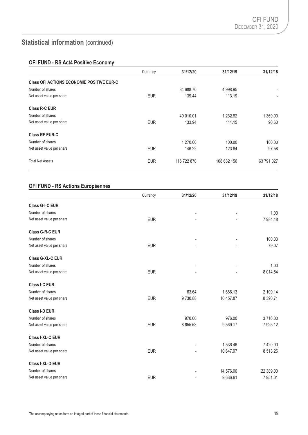# **OFI FUND - RS Act4 Positive Economy**

|                                                  | Currency   | 31/12/20    | 31/12/19    | 31/12/18                 |
|--------------------------------------------------|------------|-------------|-------------|--------------------------|
| <b>Class OFI ACTIONS ECONOMIE POSITIVE EUR-C</b> |            |             |             |                          |
| Number of shares                                 |            | 34 688.70   | 4 998.95    | $\blacksquare$           |
| Net asset value per share                        | <b>EUR</b> | 139.44      | 113.19      | $\overline{\phantom{a}}$ |
| Class R-C EUR                                    |            |             |             |                          |
| Number of shares                                 |            | 49 010.01   | 1 232.82    | 1 369.00                 |
| Net asset value per share                        | <b>EUR</b> | 133.94      | 114.15      | 90.60                    |
| <b>Class RF EUR-C</b>                            |            |             |             |                          |
| Number of shares                                 |            | 1 270.00    | 100.00      | 100.00                   |
| Net asset value per share                        | <b>EUR</b> | 146.22      | 123.84      | 97.58                    |
| <b>Total Net Assets</b>                          | <b>EUR</b> | 116 722 870 | 108 682 156 | 63 791 027               |

# **OFI FUND - RS Actions Européennes**

|                           | Currency   | 31/12/20 | 31/12/19  | 31/12/18    |
|---------------------------|------------|----------|-----------|-------------|
| Class G-I-C EUR           |            |          |           |             |
| Number of shares          |            |          |           | 1.00        |
| Net asset value per share | <b>EUR</b> |          |           | 7 984.48    |
| <b>Class G-R-C EUR</b>    |            |          |           |             |
| Number of shares          |            |          |           | 100.00      |
| Net asset value per share | <b>EUR</b> |          |           | 79.07       |
| <b>Class G-XL-C EUR</b>   |            |          |           |             |
| Number of shares          |            |          |           | 1.00        |
| Net asset value per share | <b>EUR</b> |          |           | 8 0 1 4 .54 |
| <b>Class I-C EUR</b>      |            |          |           |             |
| Number of shares          |            | 63.64    | 1686.13   | 2 109.14    |
| Net asset value per share | <b>EUR</b> | 9730.88  | 10 457.87 | 8 390.71    |
| <b>Class I-D EUR</b>      |            |          |           |             |
| Number of shares          |            | 970.00   | 976.00    | 3716.00     |
| Net asset value per share | <b>EUR</b> | 8 655.63 | 9569.17   | 7 925.12    |
| Class I-XL-C EUR          |            |          |           |             |
| Number of shares          |            |          | 1 536.46  | 7 420.00    |
| Net asset value per share | <b>EUR</b> |          | 10 647.97 | 8 513.26    |
| Class I-XL-D EUR          |            |          |           |             |
| Number of shares          |            |          | 14 576.00 | 22 389.00   |
| Net asset value per share | <b>EUR</b> |          | 9636.61   | 7951.01     |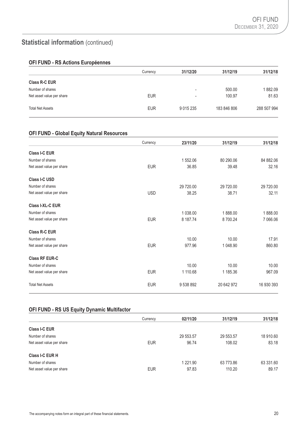# **OFI FUND - RS Actions Européennes**

|                           | Currency   | 31/12/20                 | 31/12/19    | 31/12/18    |
|---------------------------|------------|--------------------------|-------------|-------------|
| <b>Class R-C EUR</b>      |            |                          |             |             |
| Number of shares          |            | $\overline{\phantom{0}}$ | 500.00      | 1882.09     |
| Net asset value per share | <b>EUR</b> | $\blacksquare$           | 100.97      | 81.63       |
| <b>Total Net Assets</b>   | <b>EUR</b> | 9 0 1 5 2 3 5            | 183 846 806 | 288 507 994 |

# **OFI FUND - Global Equity Natural Resources**

|                           | Currency   | 23/11/20  | 31/12/19   | 31/12/18   |
|---------------------------|------------|-----------|------------|------------|
| <b>Class I-C EUR</b>      |            |           |            |            |
| Number of shares          |            | 1 552.06  | 80 290.06  | 84 882.06  |
| Net asset value per share | <b>EUR</b> | 36.85     | 39.48      | 32.16      |
| Class I-C USD             |            |           |            |            |
| Number of shares          |            | 29 720.00 | 29 720.00  | 29 720.00  |
| Net asset value per share | <b>USD</b> | 38.25     | 38.71      | 32.11      |
| Class I-XL-C EUR          |            |           |            |            |
| Number of shares          |            | 1 038,00  | 1888.00    | 1888.00    |
| Net asset value per share | <b>EUR</b> | 8 187.74  | 8700.24    | 7 066.06   |
| Class R-C EUR             |            |           |            |            |
| Number of shares          |            | 10.00     | 10.00      | 17.91      |
| Net asset value per share | <b>EUR</b> | 977.96    | 1 048.90   | 860.80     |
| <b>Class RF EUR-C</b>     |            |           |            |            |
| Number of shares          |            | 10.00     | 10.00      | 10.00      |
| Net asset value per share | <b>EUR</b> | 1 110.68  | 1 185.36   | 967.09     |
| <b>Total Net Assets</b>   | <b>EUR</b> | 9 538 892 | 20 642 972 | 16 930 393 |

# **OFI FUND - RS US Equity Dynamic Multifactor**

|                           | Currency   | 02/11/20      | 31/12/19  | 31/12/18  |
|---------------------------|------------|---------------|-----------|-----------|
| <b>Class I-C EUR</b>      |            |               |           |           |
| Number of shares          |            | 29 553.57     | 29 553.57 | 18 910.60 |
| Net asset value per share | <b>EUR</b> | 96.74         | 108.02    | 83.18     |
| <b>Class I-C EUR H</b>    |            |               |           |           |
| Number of shares          |            | 1 2 2 1 . 9 0 | 63 773.86 | 63 331.60 |
| Net asset value per share | <b>EUR</b> | 97.83         | 110.20    | 89.17     |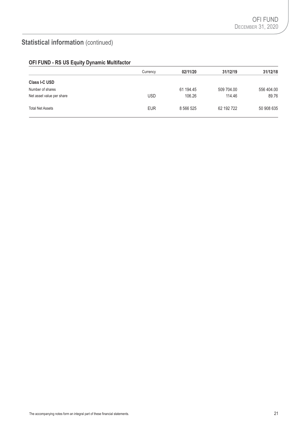| OFI FUND - RS US Equity Dynamic Multifactor |  |  |  |  |  |  |
|---------------------------------------------|--|--|--|--|--|--|
|---------------------------------------------|--|--|--|--|--|--|

|                           | Currency   | 02/11/20  | 31/12/19   | 31/12/18   |
|---------------------------|------------|-----------|------------|------------|
| <b>Class I-C USD</b>      |            |           |            |            |
| Number of shares          |            | 61 194.45 | 509 704.00 | 556 404.00 |
| Net asset value per share | <b>USD</b> | 106.26    | 114.46     | 89.76      |
| <b>Total Net Assets</b>   | <b>EUR</b> | 8 566 525 | 62 192 722 | 50 908 635 |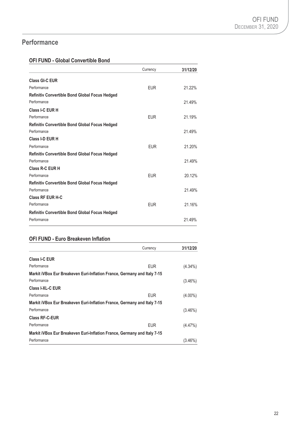# **Performance**

# **OFI FUND - Global Convertible Bond**

|                                                       | Currency   | 31/12/20 |
|-------------------------------------------------------|------------|----------|
| <b>Class GI-C EUR</b>                                 |            |          |
| Performance                                           | <b>EUR</b> | 21.22%   |
| <b>Refinitiv Convertible Bond Global Focus Hedged</b> |            |          |
| Performance                                           |            | 21.49%   |
| Class I-C EUR H                                       |            |          |
| Performance                                           | <b>EUR</b> | 21.19%   |
| <b>Refinitiv Convertible Bond Global Focus Hedged</b> |            |          |
| Performance                                           |            | 21.49%   |
| Class I-D EUR H                                       |            |          |
| Performance                                           | <b>EUR</b> | 21.20%   |
| <b>Refinitiv Convertible Bond Global Focus Hedged</b> |            |          |
| Performance                                           |            | 21.49%   |
| Class R-C EUR H                                       |            |          |
| Performance                                           | <b>EUR</b> | 20.12%   |
| Refinitiv Convertible Bond Global Focus Hedged        |            |          |
| Performance                                           |            | 21.49%   |
| <b>Class RF EUR H-C</b>                               |            |          |
| Performance                                           | <b>EUR</b> | 21.16%   |
| Refinitiv Convertible Bond Global Focus Hedged        |            |          |
| Performance                                           |            | 21.49%   |

# **OFI FUND - Euro Breakeven Inflation**

|                                                                          | Currency   | 31/12/20   |
|--------------------------------------------------------------------------|------------|------------|
| Class I-C EUR                                                            |            |            |
| Performance                                                              | <b>EUR</b> | $(4.34\%)$ |
| Markit iVBox Eur Breakeven Euri-Inflation France, Germany and Italy 7-15 |            |            |
| Performance                                                              |            | $(3.46\%)$ |
| Class I-XL-C EUR                                                         |            |            |
| Performance                                                              | <b>EUR</b> | $(4.00\%)$ |
| Markit iVBox Eur Breakeven Euri-Inflation France, Germany and Italy 7-15 |            |            |
| Performance                                                              |            | $(3.46\%)$ |
| <b>Class RF-C-EUR</b>                                                    |            |            |
| Performance                                                              | <b>EUR</b> | $(4.47\%)$ |
| Markit iVBox Eur Breakeven Euri-Inflation France, Germany and Italy 7-15 |            |            |
| Performance                                                              |            | $(3.46\%)$ |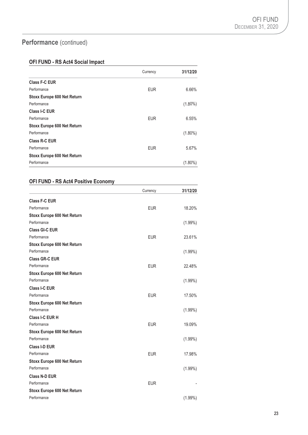# **Performance** (continued)

# **OFI FUND - RS Act4 Social Impact**

|                                    | Currency   | 31/12/20   |
|------------------------------------|------------|------------|
| <b>Class F-C EUR</b>               |            |            |
| Performance                        | <b>EUR</b> | 6.66%      |
| Stoxx Europe 600 Net Return        |            |            |
| Performance                        |            | $(1.80\%)$ |
| Class I-C EUR                      |            |            |
| Performance                        | <b>EUR</b> | 6.55%      |
| <b>Stoxx Europe 600 Net Return</b> |            |            |
| Performance                        |            | $(1.80\%)$ |
| <b>Class R-C EUR</b>               |            |            |
| Performance                        | <b>EUR</b> | 5.67%      |
| <b>Stoxx Europe 600 Net Return</b> |            |            |
| Performance                        |            | $(1.80\%)$ |

# **OFI FUND - RS Act4 Positive Economy**

|                                    | Currency   | 31/12/20   |
|------------------------------------|------------|------------|
| <b>Class F-C EUR</b>               |            |            |
| Performance                        | <b>EUR</b> | 18.20%     |
| <b>Stoxx Europe 600 Net Return</b> |            |            |
| Performance                        |            | $(1.99\%)$ |
| <b>Class GI-C EUR</b>              |            |            |
| Performance                        | <b>EUR</b> | 23.61%     |
| <b>Stoxx Europe 600 Net Return</b> |            |            |
| Performance                        |            | $(1.99\%)$ |
| <b>Class GR-C EUR</b>              |            |            |
| Performance                        | <b>EUR</b> | 22.48%     |
| <b>Stoxx Europe 600 Net Return</b> |            |            |
| Performance                        |            | $(1.99\%)$ |
| <b>Class I-C EUR</b>               |            |            |
| Performance                        | <b>EUR</b> | 17.50%     |
| <b>Stoxx Europe 600 Net Return</b> |            |            |
| Performance                        |            | $(1.99\%)$ |
| Class I-C EUR H                    |            |            |
| Performance                        | <b>EUR</b> | 19.09%     |
| <b>Stoxx Europe 600 Net Return</b> |            |            |
| Performance                        |            | $(1.99\%)$ |
| <b>Class I-D EUR</b>               |            |            |
| Performance                        | <b>EUR</b> | 17.98%     |
| <b>Stoxx Europe 600 Net Return</b> |            |            |
| Performance                        |            | $(1.99\%)$ |
| <b>Class N-D EUR</b>               |            |            |
| Performance                        | <b>EUR</b> |            |
| <b>Stoxx Europe 600 Net Return</b> |            |            |
| Performance                        |            | $(1.99\%)$ |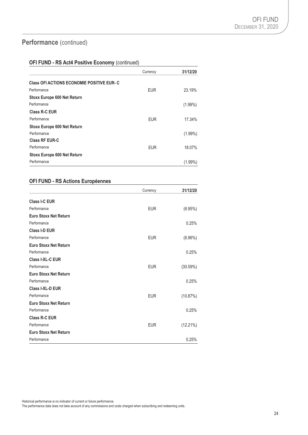# **Performance** (continued)

### **OFI FUND - RS Act4 Positive Economy** (continued)

|                                                   | Currency   | 31/12/20   |
|---------------------------------------------------|------------|------------|
| <b>Class OFI ACTIONS ECONOMIE POSITIVE EUR- C</b> |            |            |
| Performance                                       | <b>EUR</b> | 23.19%     |
| <b>Stoxx Europe 600 Net Return</b>                |            |            |
| Performance                                       |            | $(1.99\%)$ |
| Class R-C EUR                                     |            |            |
| Performance                                       | <b>EUR</b> | 17.34%     |
| <b>Stoxx Europe 600 Net Return</b>                |            |            |
| Performance                                       |            | $(1.99\%)$ |
| <b>Class RF EUR-C</b>                             |            |            |
| Performance                                       | <b>EUR</b> | 18.07%     |
| <b>Stoxx Europe 600 Net Return</b>                |            |            |
| Performance                                       |            | $(1.99\%)$ |

# **OFI FUND - RS Actions Européennes**

|                              | Currency   | 31/12/20   |
|------------------------------|------------|------------|
| <b>Class I-C EUR</b>         |            |            |
| Performance                  | <b>EUR</b> | (6.95%)    |
| <b>Euro Stoxx Net Return</b> |            |            |
| Performance                  |            | 0.25%      |
| <b>Class I-D EUR</b>         |            |            |
| Performance                  | <b>EUR</b> | $(6.96\%)$ |
| <b>Euro Stoxx Net Return</b> |            |            |
| Performance                  |            | 0.25%      |
| <b>Class I-XL-C EUR</b>      |            |            |
| Performance                  | <b>EUR</b> | (30.59%)   |
| <b>Euro Stoxx Net Return</b> |            |            |
| Performance                  |            | 0.25%      |
| <b>Class I-XL-D EUR</b>      |            |            |
| Performance                  | <b>EUR</b> | (10.87%)   |
| <b>Euro Stoxx Net Return</b> |            |            |
| Performance                  |            | 0.25%      |
| Class R-C EUR                |            |            |
| Performance                  | <b>EUR</b> | (12.21%)   |
| <b>Euro Stoxx Net Return</b> |            |            |
| Performance                  |            | 0.25%      |

Historical performance is no indicator of current or future performance.

The performance data does not take account of any commissions and costs charged when subscribing and redeeming units.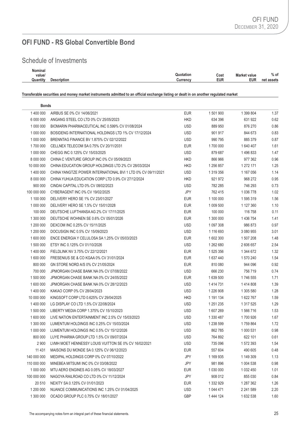# Schedule of Investments

| Nominal  |                    |           |      |                     |            |
|----------|--------------------|-----------|------|---------------------|------------|
| value/   |                    | Quotation | Cost | <b>Market value</b> | $%$ of     |
| Quantity | <b>Description</b> | Currencv  | EUR  | <b>EUR</b>          | net assets |

**Transferable securities and money market instruments admitted to an official exchange listing or dealt in on another regulated market**

| <b>Bonds</b> |                                                              |            |               |               |      |
|--------------|--------------------------------------------------------------|------------|---------------|---------------|------|
| 1400 000     | AIRBUS SE 0% CV 14/06/2021                                   | <b>EUR</b> | 1 501 900     | 1 399 804     | 1.37 |
| 6 000 000    | ANGANG STEEL CO LTD 0% CV 25/05/2023                         | <b>HKD</b> | 634 396       | 631 922       | 0.62 |
| 1 000 000    | BIOMARIN PHARMACEUTICAL INC 0.599% CV 01/08/2024             | <b>USD</b> | 889 950       | 876 270       | 0.86 |
| 1 000 000    | BOSIDENG INTERNATIONAL HOLDINGS LTD 1% CV 17/12/2024         | <b>USD</b> | 901 917       | 844 673       | 0.83 |
| 1 000 000    | BRENNTAG FINANCE BV 1.875% CV 02/12/2022                     | <b>USD</b> | 990 795       | 885 379       | 0.87 |
| 1700 000     | CELLNEX TELECOM SA 0.75% CV 20/11/2031                       | <b>EUR</b> | 1700 000      | 1640407       | 1.61 |
| 1 000 000    | CHEGG INC 0.125% CV 15/03/2025                               | <b>USD</b> | 879 687       | 1496833       | 1.47 |
| 8 000 000    | CHINA C VENTURE GROUP INC 0% CV 05/09/2023                   | <b>HKD</b> | 866 966       | 977 362       | 0.96 |
| 10 000 000   | CHINA EDUCATION GROUP HOLDINGS LTD 2% CV 28/03/2024          | HKD        | 1 256 857     | 1 272 171     | 1.25 |
| 1 400 000    | CHINA YANGTZE POWER INTERNATIONAL BVI 1 LTD 0% CV 09/11/2021 | <b>USD</b> | 1 319 356     | 1 167 056     | 1.14 |
| 8 000 000    | CHINA YUHUA EDUCATION CORP LTD 0.9% CV 27/12/2024            | <b>HKD</b> | 921 972       | 968 272       | 0.95 |
| 900 000      | CINDAI CAPITAL LTD 0% CV 08/02/2023                          | <b>USD</b> | 782 285       | 746 293       | 0.73 |
| 100 000 000  | CYBERAGENT INC 0% CV 19/02/2025                              | JPY        | 762 415       | 1 036 778     | 1.02 |
| 1 100 000    | DELIVERY HERO SE 1% CV 23/01/2027                            | <b>EUR</b> | 1 100 000     | 1 595 319     | 1.56 |
| 1 000 000    | DELIVERY HERO SE 1.5% CV 15/01/2028                          | <b>EUR</b> | 1 009 500     | 1 127 360     | 1.10 |
| 100 000      | DEUTSCHE LUFTHANSA AG 2% CV 17/11/2025                       | <b>EUR</b> | 100 000       | 116 758       | 0.11 |
| 1 300 000    | DEUTSCHE WOHNEN SE 0.6% CV 05/01/2026                        | <b>EUR</b> | 1 300 000     | 1 436 754     | 1.41 |
| 1 200 000    | DEXCOM INC 0.25% CV 15/11/2025                               | <b>USD</b> | 1 097 308     | 986 873       | 0.97 |
| 1 200 000    | DOCUSIGN INC 0.5% CV 15/09/2023                              | <b>USD</b> | 1 116 693     | 3 080 955     | 3.01 |
| 1 600 000    | ENCE ENERGIA Y CELULOSA SA 1.25% CV 05/03/2023               | <b>EUR</b> | 1 602 300     | 1 507 208     | 1.48 |
| 1 500 000    | ETSY INC 0.125% CV 01/10/2026                                | <b>USD</b> | 1 262 680     | 2 606 657     | 2.54 |
| 1 400 000    | FIELDLINK NV 3.75% CV 22/12/2021                             | <b>EUR</b> | 1 525 356     | 1 344 672     | 1.32 |
| 1 600 000    | FRESENIUS SE & CO KGAA 0% CV 31/01/2024                      | <b>EUR</b> | 1637440       | 1 570 240     | 1.54 |
| 800 000      | GN STORE NORD A/S 0% CV 21/05/2024                           | <b>EUR</b> | 810 080       | 944 096       | 0.92 |
| 700 000      | JPMORGAN CHASE BANK NA 0% CV 07/08/2022                      | <b>USD</b> | 666 230       | 756 719       | 0.74 |
| 1 500 000    | JPMORGAN CHASE BANK NA 0% CV 24/05/2022                      | <b>EUR</b> | 1 639 500     | 1746 555      | 1.71 |
| 1 600 000    | JPMORGAN CHASE BANK NA 0% CV 28/12/2023                      | <b>USD</b> | 1 4 1 4 7 3 1 | 1414808       | 1.39 |
| 1400 000     | KAKAO CORP 0% CV 28/04/2023                                  | <b>USD</b> | 1 226 908     | 1 305 580     | 1.28 |
| 10 000 000   | KINGSOFT CORP LTD 0.625% CV 29/04/2025                       | <b>HKD</b> | 1 191 134     | 1 622 767     | 1.59 |
| 1 400 000    | LG DISPLAY CO LTD 1.5% CV 22/08/2024                         | <b>USD</b> | 1 251 235     | 1 317 525     | 1.29 |
| 1 500 000    | LIBERTY MEDIA CORP 1.375% CV 15/10/2023                      | <b>USD</b> | 1 607 269     | 1 566 716     | 1.53 |
| 1 600 000    | LIVE NATION ENTERTAINMENT INC 2.5% CV 15/03/2023             | <b>USD</b> | 1 330 487     | 1700 926      | 1.67 |
| 1 300 000    | LUMENTUM HOLDINGS INC 0.25% CV 15/03/2024                    | <b>USD</b> | 1 238 599     | 1759864       | 1.72 |
| 1 000 000    | LUMENTUM HOLDINGS INC 0.5% CV 15/12/2026                     | <b>USD</b> | 862785        | 1 000 531     | 0.98 |
| 800 000      | LUYE PHARMA GROUP LTD 1.5% CV 09/07/2024                     | <b>USD</b> | 764 892       | 622 101       | 0.61 |
| 2 9 0 0      | LVMH MOET HENNESSY LOUIS VUITTON SE 0% CV 16/02/2021         | <b>USD</b> | 735 096       | 1 572 393     | 1.54 |
| 11 431       | MAISONS DU MONDE SA 0.125% CV 06/12/2023                     | <b>EUR</b> | 557 604       | 490 605       | 0.48 |
| 140 000 000  | MEDIPAL HOLDINGS CORP 0% CV 07/10/2022                       | JPY        | 1 169 935     | 1 149 309     | 1.13 |
| 110 000 000  | MINEBEA MITSUMI INC 0% CV 03/08/2022                         | JPY        | 981896        | 1 004 538     | 0.98 |
| 1 000 000    | MTU AERO ENGINES AG 0.05% CV 18/03/2027                      | <b>EUR</b> | 1 030 000     | 1 0 3 2 4 5 0 | 1.01 |
| 100 000 000  | NAGOYA RAILROAD CO LTD 0% CV 11/12/2024                      | JPY        | 908 012       | 855 030       | 0.84 |
| 20 510       | NEXITY SA 0.125% CV 01/01/2023                               | <b>EUR</b> | 1 332 929     | 1 287 362     | 1.26 |
| 1 200 000    | NUANCE COMMUNICATIONS INC 1.25% CV 01/04/2025                | <b>USD</b> | 1 044 471     | 2 241 589     | 2.20 |
| 1 300 000    | OCADO GROUP PLC 0.75% CV 18/01/2027                          | GBP        | 1444 124      | 1632538       | 1.60 |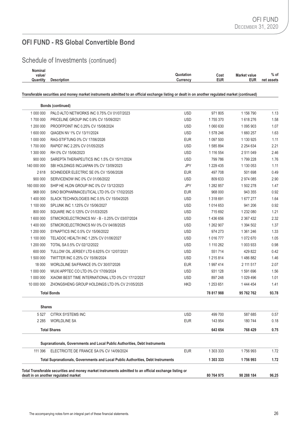Schedule of Investments (continued)

| Nominal  |                    |                   |                     |            |
|----------|--------------------|-------------------|---------------------|------------|
| value/   |                    | Quotation<br>Cost | <b>Market value</b> | $%$ of     |
| Quantity | <b>Description</b> | EUR<br>Currency   | <b>EUR</b>          | net assets |
|          |                    |                   |                     |            |

**Transferable securities and money market instruments admitted to an official exchange listing or dealt in on another regulated market (continued)**

|                                                                                                                                                                            | <b>Bonds (continued)</b>                                                         |            |               |               |       |
|----------------------------------------------------------------------------------------------------------------------------------------------------------------------------|----------------------------------------------------------------------------------|------------|---------------|---------------|-------|
| 1 000 000                                                                                                                                                                  | PALO ALTO NETWORKS INC 0.75% CV 01/07/2023                                       | <b>USD</b> | 971 805       | 1 156 790     | 1.13  |
| 1700 000                                                                                                                                                                   | PRICELINE GROUP INC 0.9% CV 15/09/2021                                           | <b>USD</b> | 1755370       | 1618276       | 1.58  |
| 1 200 000                                                                                                                                                                  | PROOFPOINT INC 0.25% CV 15/08/2024                                               | <b>USD</b> | 1 060 630     | 1 095 903     | 1.07  |
| 1 600 000                                                                                                                                                                  | QIAGEN NV 1% CV 13/11/2024                                                       | <b>USD</b> | 1 578 246     | 1660257       | 1.63  |
| 1 000 000                                                                                                                                                                  | RAG-STIFTUNG 0% CV 17/06/2026                                                    | <b>EUR</b> | 1 097 500     | 1 130 925     | 1.11  |
| 1700 000                                                                                                                                                                   | RAPID7 INC 2.25% CV 01/05/2025                                                   | <b>USD</b> | 1 585 894     | 2 2 5 4 6 3 4 | 2.21  |
| 1 300 000                                                                                                                                                                  | RH 0% CV 15/06/2023                                                              | <b>USD</b> | 1 116 554     | 2 511 049     | 2.46  |
| 900 000                                                                                                                                                                    | SAREPTA THERAPEUTICS INC 1.5% CV 15/11/2024                                      | <b>USD</b> | 799 786       | 1799228       | 1.76  |
| 140 000 000                                                                                                                                                                | SBI HOLDINGS INC/JAPAN 0% CV 13/09/2023                                          | JPY        | 1 229 435     | 1 130 053     | 1.11  |
| 2618                                                                                                                                                                       | SCHNEIDER ELECTRIC SE 0% CV 15/06/2026                                           | <b>EUR</b> | 497 708       | 501 698       | 0.49  |
| 900 000                                                                                                                                                                    | SERVICENOW INC 0% CV 01/06/2022                                                  | <b>USD</b> | 809 633       | 2 974 085     | 2.90  |
| 160 000 000                                                                                                                                                                | SHIP HE HLDN GROUP INC 0% CV 13/12/2023                                          | JPY        | 1 282 857     | 1 502 278     | 1.47  |
| 968 000                                                                                                                                                                    | SINO BIOPHARMACEUTICAL LTD 0% CV 17/02/2025                                      | <b>EUR</b> | 968 000       | 943 355       | 0.92  |
| 1 400 000                                                                                                                                                                  | SLACK TECHNOLOGIES INC 0.5% CV 15/04/2025                                        | <b>USD</b> | 1 318 691     | 1 677 277     | 1.64  |
| 1 100 000                                                                                                                                                                  | SPLUNK INC 1.125% CV 15/06/2027                                                  | <b>USD</b> | 1 0 14 6 53   | 941 206       | 0.92  |
| 800 000                                                                                                                                                                    | SQUARE INC 0.125% CV 01/03/2025                                                  | <b>USD</b> | 715 692       | 1 232 080     | 1.21  |
| 1 600 000                                                                                                                                                                  | STMICROELECTRONICS NV - B - 0.25% CV 03/07/2024                                  | <b>USD</b> | 1 436 656     | 2 367 432     | 2.32  |
| 1 400 000                                                                                                                                                                  | STMICROELECTRONICS NV 0% CV 04/08/2025                                           | <b>USD</b> | 1 262 907     | 1 394 502     | 1.37  |
| 1 200 000                                                                                                                                                                  | SYNAPTICS INC 0.5% CV 15/06/2022                                                 | <b>USD</b> | 974 273       | 1 361 246     | 1.33  |
| 1 100 000                                                                                                                                                                  | TELADOC HEALTH INC 1.25% CV 01/06/2027                                           | <b>USD</b> | 1 016 777     | 1 072 670     | 1.05  |
| 1 200 000                                                                                                                                                                  | TOTAL SA 0.5% CV 02/12/2022                                                      | <b>USD</b> | 1 110 262     | 1 003 933     | 0.98  |
| 600 000                                                                                                                                                                    | TULLOW OIL JERSEY LTD 6.625% CV 12/07/2021                                       | <b>USD</b> | 551714        | 429 822       | 0.42  |
| 1 500 000                                                                                                                                                                  | TWITTER INC 0.25% CV 15/06/2024                                                  | <b>USD</b> | 1 2 1 5 8 1 4 | 1486882       | 1.46  |
| 18 000                                                                                                                                                                     | WORLDLINE SA/FRANCE 0% CV 30/07/2026                                             | <b>EUR</b> | 1997414       | 2 111 517     | 2.07  |
| 1 000 000                                                                                                                                                                  | WUXI APPTEC CO LTD 0% CV 17/09/2024                                              | <b>USD</b> | 931 128       | 1591696       | 1.56  |
| 1 000 000                                                                                                                                                                  | XIAOMI BEST TIME INTERNATIONAL LTD 0% CV 17/12/2027                              | <b>USD</b> | 897 248       | 1 029 496     | 1.01  |
| 10 000 000                                                                                                                                                                 | ZHONGSHENG GROUP HOLDINGS LTD 0% CV 21/05/2025                                   | <b>HKD</b> | 1 253 651     | 1 444 454     | 1.41  |
|                                                                                                                                                                            | <b>Total Bonds</b>                                                               |            | 78 817 988    | 95 762 762    | 93.78 |
| <b>Shares</b>                                                                                                                                                              |                                                                                  |            |               |               |       |
| 5527                                                                                                                                                                       | CITRIX SYSTEMS INC                                                               | <b>USD</b> | 499 700       | 587 685       | 0.57  |
| 2 2 8 5                                                                                                                                                                    | <b>WORLDLINE SA</b>                                                              | <b>EUR</b> | 143 954       | 180 744       | 0.18  |
|                                                                                                                                                                            | <b>Total Shares</b>                                                              |            | 643 654       | 768 429       | 0.75  |
|                                                                                                                                                                            | Supranationals, Governments and Local Public Authorities, Debt Instruments       |            |               |               |       |
| 111 396                                                                                                                                                                    | ELECTRICITE DE FRANCE SA 0% CV 14/09/2024                                        | <b>EUR</b> | 1 303 333     | 1756993       | 1.72  |
|                                                                                                                                                                            | Total Supranationals, Governments and Local Public Authorities, Debt Instruments |            | 1 303 333     | 1756993       | 1.72  |
| Total Transferable securities and money market instruments admitted to an official exchange listing or<br>dealt in on another regulated market<br>80 764 975<br>98 288 184 |                                                                                  |            |               |               | 96.25 |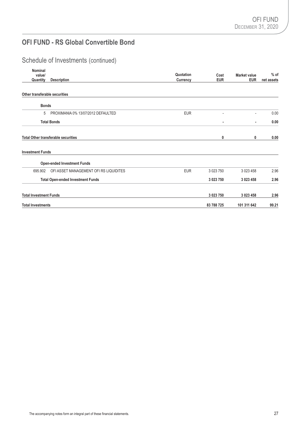# Schedule of Investments (continued)

| <b>Nominal</b><br>value/<br>Quantity | <b>Description</b>                         | Quotation<br>Currency | Cost<br><b>EUR</b> | <b>Market value</b><br><b>EUR</b> | $%$ of<br>net assets |
|--------------------------------------|--------------------------------------------|-----------------------|--------------------|-----------------------------------|----------------------|
| Other transferable securities        |                                            |                       |                    |                                   |                      |
| <b>Bonds</b>                         |                                            |                       |                    |                                   |                      |
| 5                                    | PROXIMANIA 0% 13/07/2012 DEFAULTED         | <b>EUR</b>            | ٠                  | $\overline{\phantom{a}}$          | 0.00                 |
|                                      | <b>Total Bonds</b>                         |                       | ٠                  | ٠                                 | 0.00                 |
|                                      | <b>Total Other transferable securities</b> |                       | 0                  | 0                                 | 0.00                 |
| <b>Investment Funds</b>              |                                            |                       |                    |                                   |                      |
|                                      | <b>Open-ended Investment Funds</b>         |                       |                    |                                   |                      |
| 695.902                              | OFI ASSET MANAGEMENT OFI RS LIQUIDITES     | <b>EUR</b>            | 3 0 23 7 50        | 3 023 458                         | 2.96                 |
|                                      | <b>Total Open-ended Investment Funds</b>   |                       | 3 023 750          | 3 023 458                         | 2.96                 |
| <b>Total Investment Funds</b>        |                                            |                       | 3 023 750          | 3 023 458                         | 2.96                 |
| <b>Total Investments</b>             |                                            |                       | 83 788 725         | 101 311 642                       | 99.21                |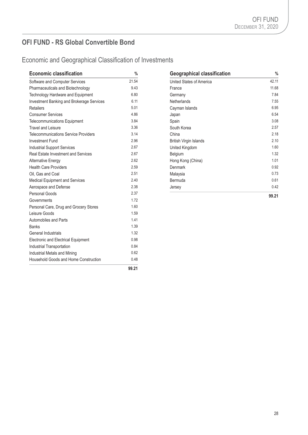Economic and Geographical Classification of Investments

| <b>Economic classification</b>              | $\%$  | <b>Geographical classification</b> | $\frac{9}{6}$ |
|---------------------------------------------|-------|------------------------------------|---------------|
| Software and Computer Services              | 21.54 | United States of America           | 42.11         |
| Pharmaceuticals and Biotechnology           | 9.43  | France                             | 11.68         |
| Technology Hardware and Equipment           | 6.80  | Germany                            | 7.84          |
| Investment Banking and Brokerage Services   | 6.11  | Netherlands                        | 7.55          |
| <b>Retailers</b>                            | 5.01  | Cayman Islands                     | 6.95          |
| <b>Consumer Services</b>                    | 4.86  | Japan                              | 6.54          |
| Telecommunications Equipment                | 3.84  | Spain                              | 3.08          |
| <b>Travel and Leisure</b>                   | 3.36  | South Korea                        | 2.57          |
| <b>Telecommunications Service Providers</b> | 3.14  | China                              | 2.18          |
| <b>Investment Fund</b>                      | 2.96  | <b>British Virgin Islands</b>      | 2.10          |
| <b>Industrial Support Services</b>          | 2.67  | United Kingdom                     | 1.60          |
| Real Estate Investment and Services         | 2.67  | Belgium                            | 1.32          |
| <b>Alternative Energy</b>                   | 2.62  | Hong Kong (China)                  | 1.01          |
| <b>Health Care Providers</b>                | 2.59  | Denmark                            | 0.92          |
| Oil. Gas and Coal                           | 2.51  | Malaysia                           | 0.73          |
| Medical Equipment and Services              | 2.40  | Bermuda                            | 0.61          |
| Aerospace and Defense                       | 2.38  | Jersey                             | 0.42          |
| Personal Goods                              | 2.37  |                                    | 99.21         |
| Governments                                 | 1.72  |                                    |               |
| Personal Care, Drug and Grocery Stores      | 1.60  |                                    |               |
| Leisure Goods                               | 1.59  |                                    |               |
| Automobiles and Parts                       | 1.41  |                                    |               |
| <b>Banks</b>                                | 1.39  |                                    |               |
| General Industrials                         | 1.32  |                                    |               |
| Electronic and Electrical Equipment         | 0.98  |                                    |               |
| Industrial Transportation                   | 0.84  |                                    |               |
| Industrial Metals and Mining                | 0.62  |                                    |               |
| Household Goods and Home Construction       | 0.48  |                                    |               |
|                                             | 99.21 |                                    |               |

| <b>Geographical classification</b> | %     |
|------------------------------------|-------|
| United States of America           | 42.11 |
| France                             | 11.68 |
| Germany                            | 7.84  |
| Netherlands                        | 7.55  |
| Cayman Islands                     | 6.95  |
| Japan                              | 6.54  |
| Spain                              | 3.08  |
| South Korea                        | 2.57  |
| China                              | 2.18  |
| <b>British Virgin Islands</b>      | 2.10  |
| United Kingdom                     | 1.60  |
| Belgium                            | 1.32  |
| Hong Kong (China)                  | 1.01  |
| Denmark                            | 0.92  |
| Malaysia                           | 0.73  |
| Bermuda                            | 0.61  |
| Jersey                             | 0.42  |
|                                    | 99.21 |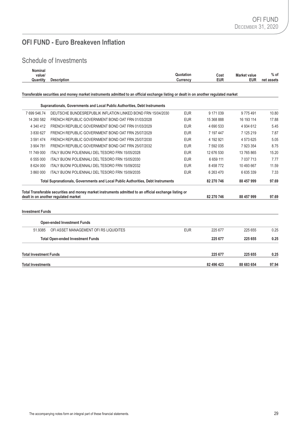# **OFI FUND - Euro Breakeven Inflation**

# Schedule of Investments

| Nominal<br>value/<br>Quantity | <b>Description</b>                                                                                                                             | Quotation<br>Currency | Cost<br><b>EUR</b> | <b>Market value</b><br><b>EUR</b> | $%$ of<br>net assets |
|-------------------------------|------------------------------------------------------------------------------------------------------------------------------------------------|-----------------------|--------------------|-----------------------------------|----------------------|
|                               | Transferable securities and money market instruments admitted to an official exchange listing or dealt in on another regulated market          |                       |                    |                                   |                      |
|                               | Supranationals, Governments and Local Public Authorities, Debt Instruments                                                                     |                       |                    |                                   |                      |
| 7699546.74                    | DEUTSCHE BUNDESREPUBLIK INFLATION LINKED BOND FRN 15/04/2030                                                                                   | <b>EUR</b>            | 9 171 039          | 9 775 491                         | 10.80                |
| 14 260 582                    | FRENCH REPUBLIC GOVERNMENT BOND OAT FRN 01/03/2028                                                                                             | <b>EUR</b>            | 15 368 888         | 16 193 114                        | 17.88                |
| 4 340 412                     | FRENCH REPUBLIC GOVERNMENT BOND OAT FRN 01/03/2029                                                                                             | <b>EUR</b>            | 4 690 533          | 4 934 612                         | 5.45                 |
| 3 830 627                     | FRENCH REPUBLIC GOVERNMENT BOND OAT FRN 25/07/2029                                                                                             | <b>EUR</b>            | 7 197 447          | 7 125 219                         | 7.87                 |
| 3 591 474                     | FRENCH REPUBLIC GOVERNMENT BOND OAT FRN 25/07/2030                                                                                             | <b>EUR</b>            | 4 192 921          | 4573625                           | 5.05                 |
| 3 904 781                     | FRENCH REPUBLIC GOVERNMENT BOND OAT FRN 25/07/2032                                                                                             | <b>EUR</b>            | 7 592 035          | 7923354                           | 8.75                 |
| 11 749 000                    | <b>ITALY BUONI POLIENNALI DEL TESORO FRN 15/05/2028</b>                                                                                        | <b>EUR</b>            | 12 676 530         | 13 765 865                        | 15.20                |
| 6 555 000                     | ITALY BUONI POLIENNALI DEL TESORO FRN 15/05/2030                                                                                               | <b>EUR</b>            | 6 659 111          | 7 037 713                         | 7.77                 |
| 8 624 000                     | <b>ITALY BUONI POLIENNALI DEL TESORO FRN 15/09/2032</b>                                                                                        | <b>EUR</b>            | 8 4 5 8 7 7 2      | 10 493 667                        | 11.59                |
| 3 860 000                     | <b>ITALY BUONI POLIENNALI DEL TESORO FRN 15/09/2035</b>                                                                                        | <b>EUR</b>            | 6 263 470          | 6 635 339                         | 7.33                 |
|                               | Total Supranationals, Governments and Local Public Authorities, Debt Instruments                                                               |                       | 82 270 746         | 88 457 999                        | 97.69                |
|                               | Total Transferable securities and money market instruments admitted to an official exchange listing or<br>dealt in on another regulated market |                       | 82 270 746         | 88 457 999                        | 97.69                |

#### **Investment Funds**

|                               | <b>Open-ended Investment Funds</b>       |            |            |            |       |
|-------------------------------|------------------------------------------|------------|------------|------------|-------|
| 51.9385                       | OFI ASSET MANAGEMENT OFI RS LIQUIDITES   | <b>EUR</b> | 225 677    | 225 655    | 0.25  |
|                               | <b>Total Open-ended Investment Funds</b> |            | 225 677    | 225 655    | 0.25  |
| <b>Total Investment Funds</b> |                                          |            | 225 677    | 225 655    | 0.25  |
| <b>Total Investments</b>      |                                          |            | 82 496 423 | 88 683 654 | 97.94 |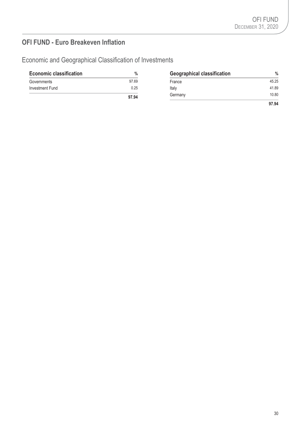# **OFI FUND - Euro Breakeven Inflation**

Economic and Geographical Classification of Investments

| <b>Economic classification</b> | %     | <b>Geographical classification</b> | $\%$  |
|--------------------------------|-------|------------------------------------|-------|
| Governments                    | 97.69 | France                             | 45.25 |
| Investment Fund                | 0.25  | Italy                              | 41.89 |
|                                | 97.94 | Germany                            | 10.80 |
|                                |       |                                    | 97.94 |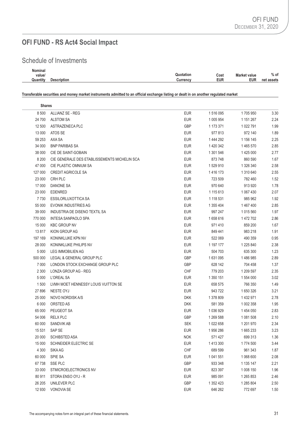# **OFI FUND - RS Act4 Social Impact**

# Schedule of Investments

| Nominal  |                    |                                          |            |
|----------|--------------------|------------------------------------------|------------|
| value/   |                    | Quotation<br><b>Market value</b><br>Cost | $%$ of     |
| Quantity | <b>Description</b> | <b>EUR</b><br><b>EUR</b><br>じurrency     | net assets |
|          |                    |                                          |            |

#### **Transferable securities and money market instruments admitted to an official exchange listing or dealt in on another regulated market**

| <b>Shares</b> |                                              |            |           |           |      |
|---------------|----------------------------------------------|------------|-----------|-----------|------|
| 8500          | ALLIANZ SE - REG                             | <b>EUR</b> | 1 516 095 | 1705 950  | 3.30 |
| 24 700        | <b>ALSTOM SA</b>                             | <b>EUR</b> | 1 005 954 | 1 151 267 | 2.24 |
| 12 500        | ASTRAZENECA PLC                              | <b>GBP</b> | 1 173 371 | 1 022 791 | 1.99 |
| 13 000        | ATOS SE                                      | <b>EUR</b> | 977 813   | 972 140   | 1.89 |
| 59 253        | AXA SA                                       | <b>EUR</b> | 1 444 292 | 1 156 145 | 2.25 |
| 34 000        | <b>BNP PARIBAS SA</b>                        | <b>EUR</b> | 1 420 342 | 1465 570  | 2.85 |
| 38 000        | CIE DE SAINT-GOBAIN                          | <b>EUR</b> | 1 301 546 | 1425 000  | 2.77 |
| 8 2 0 0       | CIE GENERALE DES ETABLISSEMENTS MICHELIN SCA | <b>EUR</b> | 873 748   | 860 590   | 1.67 |
| 47 000        | CIE PLASTIC OMNIUM SA                        | <b>EUR</b> | 1529910   | 1 326 340 | 2.58 |
| 127 000       | <b>CREDIT AGRICOLE SA</b>                    | <b>EUR</b> | 1 416 173 | 1 310 640 | 2.55 |
| 23 000        | CRH PLC                                      | <b>EUR</b> | 723 509   | 782 460   | 1.52 |
| 17 000        | DANONE SA                                    | <b>EUR</b> | 970 640   | 913 920   | 1.78 |
| 23 000        | <b>EDENRED</b>                               | <b>EUR</b> | 1 115 613 | 1 067 430 | 2.07 |
| 7730          | <b>ESSILORLUXOTTICA SA</b>                   | <b>EUR</b> | 1 118 531 | 985 962   | 1.92 |
| 55 000        | <b>EVONIK INDUSTRIES AG</b>                  | <b>EUR</b> | 1 355 404 | 1 467 400 | 2.85 |
| 39 000        | INDUSTRIA DE DISENO TEXTIL SA                | <b>EUR</b> | 997 247   | 1 015 560 | 1.97 |
| 770 000       | <b>INTESA SANPAOLO SPA</b>                   | <b>EUR</b> | 1658616   | 1 472 702 | 2.86 |
| 15 000        | <b>KBC GROUP NV</b>                          | <b>EUR</b> | 971 410   | 859 200   | 1.67 |
| 13817         | KION GROUP AG                                | <b>EUR</b> | 849 441   | 983 218   | 1.91 |
| 197 169       | KONINKLIJKE KPN NV                           | <b>EUR</b> | 522 069   | 490 359   | 0.95 |
| 28 000        | KONINKLIJKE PHILIPS NV                       | <b>EUR</b> | 1 197 177 | 1 225 840 | 2.38 |
| 5 0 0 0       | <b>LEG IMMOBILIEN AG</b>                     | <b>EUR</b> | 504 703   | 635 300   | 1.23 |
| 500 000       | LEGAL & GENERAL GROUP PLC                    | GBP        | 1631095   | 1486985   | 2.89 |
| 7 0 0 0       | LONDON STOCK EXCHANGE GROUP PLC              | GBP        | 628 142   | 704 458   | 1.37 |
| 2 3 0 0       | LONZA GROUP AG - REG                         | CHF        | 779 203   | 1 209 597 | 2.35 |
| 5 0 0 0       | L'OREAL SA                                   | <b>EUR</b> | 1 350 151 | 1 554 000 | 3.02 |
| 1500          | LVMH MOET HENNESSY LOUIS VUITTON SE          | <b>EUR</b> | 658 575   | 766 350   | 1.49 |
| 27 896        | NESTE OYJ                                    | <b>EUR</b> | 943722    | 1 650 326 | 3.21 |
| 25 000        | NOVO NORDISK A/S                             | <b>DKK</b> | 1 378 809 | 1 432 971 | 2.78 |
| 6 0 0 0       | ORSTED AS                                    | <b>DKK</b> | 581 359   | 1 002 358 | 1.95 |
| 65 000        | PEUGEOT SA                                   | <b>EUR</b> | 1 036 929 | 1 454 050 | 2.83 |
| 54 006        | <b>RELX PLC</b>                              | <b>GBP</b> | 1 269 588 | 1 081 508 | 2.10 |
| 60 000        | SANDVIK AB                                   | <b>SEK</b> | 1 022 658 | 1 201 970 | 2.34 |
| 15 531        | SAP SE                                       | <b>EUR</b> | 1956286   | 1 665 233 | 3.23 |
| 20 000        | <b>SCHIBSTED ASA</b>                         | <b>NOK</b> | 571 427   | 699 313   | 1.36 |
| 15 000        | SCHNEIDER ELECTRIC SE                        | <b>EUR</b> | 1 413 300 | 1774 500  | 3.44 |
| 4 3 0 0       | SIKA AG                                      | <b>CHF</b> | 689 599   | 961 343   | 1.87 |
| 60 000        | <b>SPIE SA</b>                               | <b>EUR</b> | 1 041 551 | 1 068 600 | 2.08 |
| 67738         | SSE PLC                                      | GBP        | 933 348   | 1 135 147 | 2.21 |
| 33 000        | STMICROELECTRONICS NV                        | <b>EUR</b> | 823 397   | 1 008 150 | 1.96 |
| 80 911        | STORA ENSO OYJ - R                           | <b>EUR</b> | 985 091   | 1 265 853 | 2.46 |
| 26 205        | UNILEVER PLC                                 | <b>GBP</b> | 1 352 423 | 1 285 804 | 2.50 |
| 12 930        | VONOVIA SE                                   | <b>EUR</b> | 646 262   | 772 697   | 1.50 |
|               |                                              |            |           |           |      |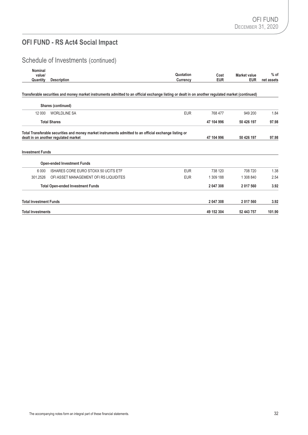# **OFI FUND - RS Act4 Social Impact**

# Schedule of Investments (continued)

| Nominal<br>value/             |                                                                                                                                                   | Quotation  | Cost       | <b>Market value</b> | $%$ of     |
|-------------------------------|---------------------------------------------------------------------------------------------------------------------------------------------------|------------|------------|---------------------|------------|
| Quantity                      | <b>Description</b>                                                                                                                                | Currency   | <b>EUR</b> | <b>EUR</b>          | net assets |
|                               | Transferable securities and money market instruments admitted to an official exchange listing or dealt in on another regulated market (continued) |            |            |                     |            |
|                               | Shares (continued)                                                                                                                                |            |            |                     |            |
| 12 000                        | <b>WORLDLINE SA</b>                                                                                                                               | <b>EUR</b> | 768 477    | 949 200             | 1.84       |
|                               | <b>Total Shares</b>                                                                                                                               |            | 47 104 996 | 50 426 197          | 97.98      |
| <b>Investment Funds</b>       | dealt in on another regulated market                                                                                                              |            | 47 104 996 | 50 426 197          | 97.98      |
|                               | <b>Open-ended Investment Funds</b>                                                                                                                |            |            |                     |            |
| 6 0 0 0                       | ISHARES CORE EURO STOXX 50 UCITS ETF                                                                                                              | <b>EUR</b> | 738 120    | 708 720             | 1.38       |
| 301.2526                      | OFI ASSET MANAGEMENT OFI RS LIQUIDITES                                                                                                            | <b>EUR</b> | 1 309 188  | 1 308 840           | 2.54       |
|                               | <b>Total Open-ended Investment Funds</b>                                                                                                          |            | 2 047 308  | 2 017 560           | 3.92       |
| <b>Total Investment Funds</b> |                                                                                                                                                   |            | 2 047 308  | 2 017 560           | 3.92       |
| <b>Total Investments</b>      |                                                                                                                                                   |            | 49 152 304 | 52 443 757          | 101.90     |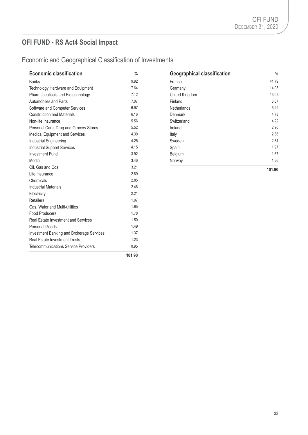# **OFI FUND - RS Act4 Social Impact**

# Economic and Geographical Classification of Investments

| <b>Economic classification</b>              | $\%$   | <b>Geographical classification</b> | $\frac{0}{6}$ |
|---------------------------------------------|--------|------------------------------------|---------------|
| <b>Banks</b>                                | 9.92   | France                             | 41.79         |
| Technology Hardware and Equipment           | 7.64   | Germany                            | 14.05         |
| Pharmaceuticals and Biotechnology           | 7.12   | United Kingdom                     | 13.05         |
| Automobiles and Parts                       | 7.07   | Finland                            | 5.67          |
| Software and Computer Services              | 6.97   | Netherlands                        | 5.29          |
| <b>Construction and Materials</b>           | 6.16   | Denmark                            | 4.73          |
| Non-life Insurance                          | 5.56   | Switzerland                        | 4.22          |
| Personal Care, Drug and Grocery Stores      | 5.52   | Ireland                            | 2.90          |
| Medical Equipment and Services              | 4.30   | Italy                              | 2.86          |
| Industrial Engineering                      | 4.25   | Sweden                             | 2.34          |
| <b>Industrial Support Services</b>          | 4.15   | Spain                              | 1.97          |
| <b>Investment Fund</b>                      | 3.92   | Belgium                            | 1.67          |
| Media                                       | 3.46   | Norway                             | 1.36          |
| Oil, Gas and Coal                           | 3.21   |                                    | 101.90        |
| Life Insurance                              | 2.89   |                                    |               |
| Chemicals                                   | 2.85   |                                    |               |
| <b>Industrial Materials</b>                 | 2.46   |                                    |               |
| Electricity                                 | 2.21   |                                    |               |
| <b>Retailers</b>                            | 1.97   |                                    |               |
| Gas, Water and Multi-utilities              | 1.95   |                                    |               |
| <b>Food Producers</b>                       | 1.78   |                                    |               |
| <b>Real Estate Investment and Services</b>  | 1.50   |                                    |               |
| Personal Goods                              | 1.49   |                                    |               |
| Investment Banking and Brokerage Services   | 1.37   |                                    |               |
| <b>Real Estate Investment Trusts</b>        | 1.23   |                                    |               |
| <b>Telecommunications Service Providers</b> | 0.95   |                                    |               |
|                                             | 101.90 |                                    |               |

| <b>Geographical classification</b> | %      |
|------------------------------------|--------|
| France                             | 41.79  |
| Germany                            | 14.05  |
| United Kingdom                     | 13.05  |
| Finland                            | 5.67   |
| <b>Netherlands</b>                 | 5.29   |
| Denmark                            | 4.73   |
| Switzerland                        | 4.22   |
| Ireland                            | 2.90   |
| Italy                              | 2.86   |
| Sweden                             | 2.34   |
| Spain                              | 1.97   |
| Belgium                            | 1.67   |
| Norway                             | 1.36   |
|                                    | 101.90 |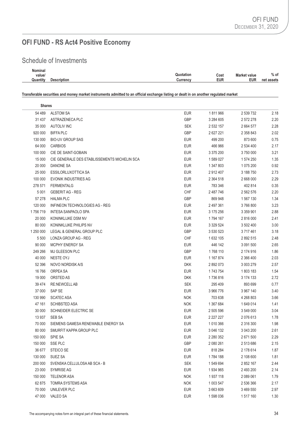# **OFI FUND - RS Act4 Positive Economy**

# Schedule of Investments

| Nominal  |             |                 |      |                     |            |
|----------|-------------|-----------------|------|---------------------|------------|
| value/   |             | Quotation       | Cost | <b>Market value</b> | $%$ of     |
| Quantity | Description | <b>Currenc∨</b> | EUR  | <b>EUR</b>          | net assets |
|          |             |                 |      |                     |            |

**Transferable securities and money market instruments admitted to an official exchange listing or dealt in on another regulated market**

| <b>Shares</b> |                                              |            |               |           |      |
|---------------|----------------------------------------------|------------|---------------|-----------|------|
| 54 489        | <b>ALSTOM SA</b>                             | <b>EUR</b> | 1811966       | 2 539 732 | 2.18 |
| 31 4 37       | ASTRAZENECA PLC                              | GBP        | 3 284 605     | 2 572 278 | 2.20 |
| 35 000        | <b>AUTOLIV INC</b>                           | <b>SEK</b> | 2 532 157     | 2 664 577 | 2.28 |
| 920 000       | <b>BIFFA PLC</b>                             | GBP        | 2 627 221     | 2 358 843 | 2.02 |
| 130 000       | <b>BIO-UV GROUP SAS</b>                      | <b>EUR</b> | 499 200       | 873 600   | 0.75 |
| 64 000        | <b>CARBIOS</b>                               | <b>EUR</b> | 466 966       | 2 534 400 | 2.17 |
| 100 000       | CIE DE SAINT-GOBAIN                          | <b>EUR</b> | 3 375 200     | 3750000   | 3.21 |
| 15 000        | CIE GENERALE DES ETABLISSEMENTS MICHELIN SCA | <b>EUR</b> | 1 589 027     | 1 574 250 | 1.35 |
| 20 000        | DANONE SA                                    | <b>EUR</b> | 1 347 803     | 1 075 200 | 0.92 |
| 25 000        | ESSILORLUXOTTICA SA                          | <b>EUR</b> | 2912407       | 3 188 750 | 2.73 |
| 100 000       | <b>EVONIK INDUSTRIES AG</b>                  | <b>EUR</b> | 2 3 6 4 5 1 8 | 2 668 000 | 2.29 |
| 278 571       | <b>FERMENTALG</b>                            | <b>EUR</b> | 783 346       | 402 814   | 0.35 |
| 5 0 0 1       | <b>GEBERIT AG - REG</b>                      | <b>CHF</b> | 2 487 746     | 2 562 576 | 2.20 |
| 57 278        | <b>HALMA PLC</b>                             | GBP        | 869 948       | 1 567 130 | 1.34 |
| 120 000       | INFINEON TECHNOLOGIES AG - REG               | <b>EUR</b> | 2 497 361     | 3766800   | 3.23 |
| 1756719       | INTESA SANPAOLO SPA                          | <b>EUR</b> | 3 175 256     | 3 359 901 | 2.88 |
| 20 000        | KONINKLIJKE DSM NV                           | <b>EUR</b> | 1794 167      | 2 816 000 | 2.41 |
| 80 000        | KONINKLIJKE PHILIPS NV                       | <b>EUR</b> | 3 329 524     | 3 502 400 | 3.00 |
| 1 250 000     | LEGAL & GENERAL GROUP PLC                    | GBP        | 3 530 523     | 3 717 461 | 3.18 |
| 5 5 0 0       | LONZA GROUP AG - REG                         | <b>CHF</b> | 1 632 105     | 2 892 515 | 2.48 |
| 90 000        | <b>MCPHY ENERGY SA</b>                       | <b>EUR</b> | 446 142       | 3 091 500 | 2.65 |
| 249 266       | MJ GLEESON PLC                               | GBP        | 1768 110      | 2 174 916 | 1.86 |
| 40 000        | NESTE OYJ                                    | <b>EUR</b> | 1 167 874     | 2 366 400 | 2.03 |
| 52 396        | NOVO NORDISK A/S                             | <b>DKK</b> | 2892073       | 3 003 279 | 2.57 |
| 16766         | ORPEA SA                                     | <b>EUR</b> | 1743754       | 1803 183  | 1.54 |
| 19 000        | ORSTED AS                                    | <b>DKK</b> | 1736816       | 3 174 133 | 2.72 |
| 39 4 74       | <b>RE:NEWCELL AB</b>                         | <b>SEK</b> | 295 409       | 893 699   | 0.77 |
| 37 000        | SAP SE                                       | <b>EUR</b> | 3966776       | 3 967 140 | 3.40 |
| 130 990       | <b>SCATEC ASA</b>                            | <b>NOK</b> | 703 638       | 4 268 803 | 3.66 |
| 47 161        | <b>SCHIBSTED ASA</b>                         | <b>NOK</b> | 1 367 684     | 1 649 014 | 1.41 |
| 30 000        | SCHNEIDER ELECTRIC SE                        | <b>EUR</b> | 2 505 596     | 3 549 000 | 3.04 |
| 13 937        | SEB SA                                       | <b>EUR</b> | 2 2 2 2 2 2 7 | 2076613   | 1.78 |
| 70 000        | SIEMENS GAMESA RENEWABLE ENERGY SA           | <b>EUR</b> | 1 010 366     | 2 316 300 | 1.98 |
| 80 000        | SMURFIT KAPPA GROUP PLC                      | <b>EUR</b> | 3 046 132     | 3 043 200 | 2.61 |
| 150 000       | SPIE SA                                      | <b>EUR</b> | 2 280 352     | 2 671 500 | 2.29 |
| 150 000       | SSE PLC                                      | GBP        | 2 080 261     | 2 513 686 | 2.15 |
| 36 677        | STEICO SE                                    | <b>EUR</b> | 818 284       | 2 178 614 | 1.87 |
| 130 000       | <b>SUEZ SA</b>                               | <b>EUR</b> | 1784 188      | 2 108 600 | 1.81 |
| 200 000       | SVENSKA CELLULOSA AB SCA - B                 | <b>SEK</b> | 1 549 694     | 2 852 167 | 2.44 |
| 23 000        | <b>SYMRISE AG</b>                            | <b>EUR</b> | 1934965       | 2 493 200 | 2.14 |
| 150 000       | <b>TELENOR ASA</b>                           | <b>NOK</b> | 1937118       | 2 089 061 | 1.79 |
| 62 875        | TOMRA SYSTEMS ASA                            | <b>NOK</b> | 1 003 547     | 2 536 366 | 2.17 |
| 70 000        | UNILEVER PLC                                 | <b>EUR</b> | 3 663 609     | 3 469 550 | 2.97 |
| 47 000        | <b>VALEO SA</b>                              | <b>EUR</b> | 1 598 036     | 1517160   | 1.30 |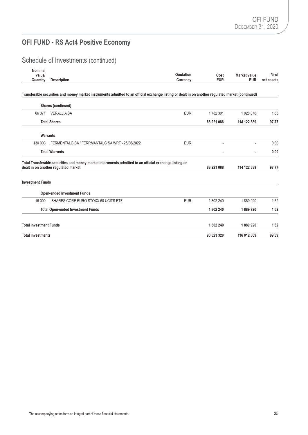# **OFI FUND - RS Act4 Positive Economy**

# Schedule of Investments (continued)

| Nominal<br>value/             |                                                                                                                                                   | Quotation  |                    | <b>Market value</b> | $%$ of     |
|-------------------------------|---------------------------------------------------------------------------------------------------------------------------------------------------|------------|--------------------|---------------------|------------|
| Quantity                      | <b>Description</b>                                                                                                                                | Currency   | Cost<br><b>EUR</b> | <b>EUR</b>          | net assets |
|                               | Transferable securities and money market instruments admitted to an official exchange listing or dealt in on another regulated market (continued) |            |                    |                     |            |
|                               | Shares (continued)                                                                                                                                |            |                    |                     |            |
| 66 371                        | <b>VERALLIA SA</b>                                                                                                                                | <b>EUR</b> | 1782391            | 1928078             | 1.65       |
|                               | <b>Total Shares</b>                                                                                                                               |            | 88 221 088         | 114 122 389         | 97.77      |
|                               | Warrants                                                                                                                                          |            |                    |                     |            |
| 130 003                       | FERMENTALG SA / FERRMANTALG SA WRT - 25/06/2022                                                                                                   | <b>EUR</b> |                    |                     | 0.00       |
| <b>Total Warrants</b>         |                                                                                                                                                   |            |                    |                     | 0.00       |
|                               | Total Transferable securities and money market instruments admitted to an official exchange listing or<br>dealt in on another regulated market    |            | 88 221 088         | 114 122 389         | 97.77      |
| <b>Investment Funds</b>       |                                                                                                                                                   |            |                    |                     |            |
|                               | <b>Open-ended Investment Funds</b>                                                                                                                |            |                    |                     |            |
| 16 000                        | ISHARES CORE EURO STOXX 50 UCITS ETF                                                                                                              | <b>EUR</b> | 1802 240           | 1889920             | 1.62       |
|                               | <b>Total Open-ended Investment Funds</b>                                                                                                          |            | 1802 240           | 1889920             | 1.62       |
| <b>Total Investment Funds</b> |                                                                                                                                                   |            | 1802 240           | 1889920             | 1.62       |
| <b>Total Investments</b>      |                                                                                                                                                   |            | 90 023 328         | 116 012 309         | 99.39      |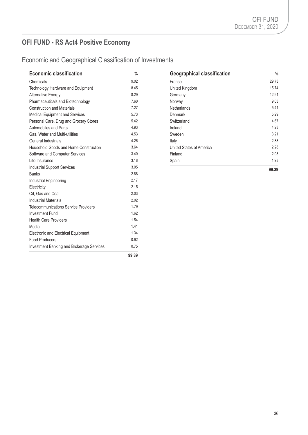# **OFI FUND - RS Act4 Positive Economy**

# Economic and Geographical Classification of Investments

| <b>Economic classification</b>                   | $\%$  | <b>Geographical classification</b> | $\frac{0}{6}$ |
|--------------------------------------------------|-------|------------------------------------|---------------|
| Chemicals                                        | 9.02  | France                             | 29.73         |
| Technology Hardware and Equipment                | 8.45  | <b>United Kingdom</b>              | 15.74         |
| <b>Alternative Energy</b>                        | 8.29  | Germany                            | 12.91         |
| Pharmaceuticals and Biotechnology                | 7.60  | Norway                             | 9.03          |
| <b>Construction and Materials</b>                | 7.27  | <b>Netherlands</b>                 | 5.41          |
| Medical Equipment and Services                   | 5.73  | Denmark                            | 5.29          |
| Personal Care, Drug and Grocery Stores           | 5.42  | Switzerland                        | 4.67          |
| Automobiles and Parts                            | 4.93  | Ireland                            | 4.23          |
| Gas, Water and Multi-utilities                   | 4.53  | Sweden                             | 3.21          |
| General Industrials                              | 4.26  | Italy                              | 2.88          |
| Household Goods and Home Construction            | 3.64  | United States of America           | 2.28          |
| Software and Computer Services                   | 3.40  | Finland                            | 2.03          |
| Life Insurance                                   | 3.18  | Spain                              | 1.98          |
| <b>Industrial Support Services</b>               | 3.05  |                                    | 99.39         |
| <b>Banks</b>                                     | 2.88  |                                    |               |
| Industrial Engineering                           | 2.17  |                                    |               |
| Electricity                                      | 2.15  |                                    |               |
| Oil. Gas and Coal                                | 2.03  |                                    |               |
| <b>Industrial Materials</b>                      | 2.02  |                                    |               |
| <b>Telecommunications Service Providers</b>      | 1.79  |                                    |               |
| <b>Investment Fund</b>                           | 1.62  |                                    |               |
| <b>Health Care Providers</b>                     | 1.54  |                                    |               |
| Media                                            | 1.41  |                                    |               |
| Electronic and Electrical Equipment              | 1.34  |                                    |               |
| <b>Food Producers</b>                            | 0.92  |                                    |               |
| <b>Investment Banking and Brokerage Services</b> | 0.75  |                                    |               |
|                                                  | 99.39 |                                    |               |

| <b>Geographical classification</b> | %     |  |
|------------------------------------|-------|--|
| France                             | 29.73 |  |
| United Kingdom                     | 15.74 |  |
| Germany                            | 12.91 |  |
| Norway                             | 9.03  |  |
| <b>Netherlands</b>                 | 5.41  |  |
| Denmark                            | 5.29  |  |
| Switzerland                        | 4.67  |  |
| Ireland                            | 4.23  |  |
| Sweden                             | 3.21  |  |
| Italy                              | 2.88  |  |
| United States of America           | 2.28  |  |
| Finland                            | 2.03  |  |
| Spain                              | 1.98  |  |
|                                    | 99.39 |  |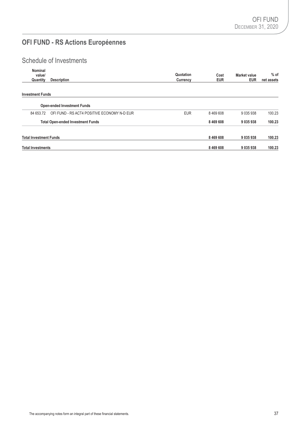# **OFI FUND - RS Actions Européennes**

# Schedule of Investments

| Nominal<br>value/<br>Quantity | <b>Description</b>                          | Quotation<br>Currency | Cost<br><b>EUR</b> | <b>Market value</b><br><b>EUR</b> | $%$ of<br>net assets |
|-------------------------------|---------------------------------------------|-----------------------|--------------------|-----------------------------------|----------------------|
| <b>Investment Funds</b>       |                                             |                       |                    |                                   |                      |
|                               | <b>Open-ended Investment Funds</b>          |                       |                    |                                   |                      |
| 84 653.72                     | OFI FUND - RS ACT4 POSITIVE ECONOMY N-D EUR | <b>EUR</b>            | 8469608            | 9 0 35 9 38                       | 100.23               |
|                               | <b>Total Open-ended Investment Funds</b>    |                       | 8 4 6 9 6 0 8      | 9 035 938                         | 100.23               |
| <b>Total Investment Funds</b> |                                             |                       | 8 4 6 9 6 0 8      | 9 035 938                         | 100.23               |
| <b>Total Investments</b>      |                                             |                       | 8 4 6 9 6 0 8      | 9 0 3 5 9 3 8                     | 100.23               |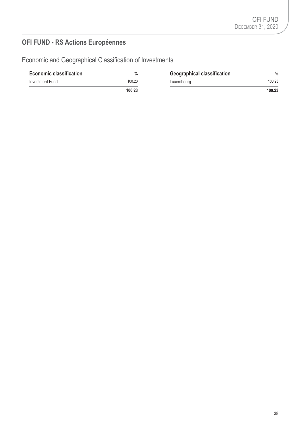# **OFI FUND - RS Actions Européennes**

Economic and Geographical Classification of Investments

| <b>Economic classification</b> | $\%$   | <b>Geographical classification</b> | $\%$   |
|--------------------------------|--------|------------------------------------|--------|
| Investment Fund                | 100.23 | Luxembourg                         |        |
|                                | 100.23 |                                    | 100.23 |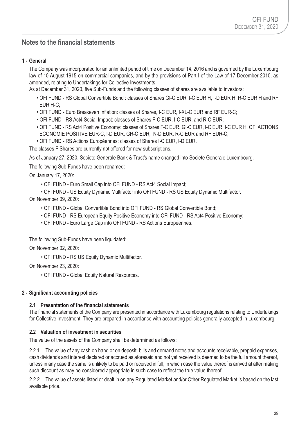# **Notes to the financial statements**

### **1 - General**

The Company was incorporated for an unlimited period of time on December 14, 2016 and is governed by the Luxembourg law of 10 August 1915 on commercial companies, and by the provisions of Part I of the Law of 17 December 2010, as amended, relating to Undertakings for Collective Investments.

As at December 31, 2020, five Sub-Funds and the following classes of shares are available to investors:

- OFI FUND RS Global Convertible Bond : classes of Shares GI-C EUR, I-C EUR H, I-D EUR H, R-C EUR H and RF EUR H-C;
- OFI FUND Euro Breakeven Inflation: classes of Shares, I-C EUR, I-XL-C EUR and RF EUR-C;
- OFI FUND RS Act4 Social Impact: classes of Shares F-C EUR, I-C EUR, and R-C EUR;
- OFI FUND RS Act4 Positive Economy: classes of Shares F-C EUR, GI-C EUR, I-C EUR, I-C EUR H, OFI ACTIONS ECONOMIE POSITIVE EUR-C, I-D EUR, GR-C EUR, N-D EUR, R-C EUR and RF EUR-C;
- OFI FUND RS Actions Européennes: classes of Shares I-C EUR, I-D EUR.

The classes F Shares are currently not offered for new subscriptions.

As of January 27, 2020, Societe Generale Bank & Trust's name changed into Societe Generale Luxembourg.

The following Sub-Funds have been renamed:

On January 17, 2020:

- OFI FUND Euro Small Cap into OFI FUND RS Act4 Social Impact;
- OFI FUND US Equity Dynamic Multifactor into OFI FUND RS US Equity Dynamic Multifactor.

On November 09, 2020:

- OFI FUND Global Convertible Bond into OFI FUND RS Global Convertible Bond;
- OFI FUND RS European Equity Positive Economy into OFI FUND RS Act4 Positive Economy;
- OFI FUND Euro Large Cap into OFI FUND RS Actions Européennes.

### The following Sub-Funds have been liquidated:

On November 02, 2020:

• OFI FUND - RS US Equity Dynamic Multifactor.

On November 23, 2020:

• OFI FUND - Global Equity Natural Resources.

### **2 - Significant accounting policies**

### **2.1 Presentation of the financial statements**

The financial statements of the Company are presented in accordance with Luxembourg regulations relating to Undertakings for Collective Investment. They are prepared in accordance with accounting policies generally accepted in Luxembourg.

### **2.2 Valuation of investment in securities**

The value of the assets of the Company shall be determined as follows:

2.2.1 The value of any cash on hand or on deposit, bills and demand notes and accounts receivable, prepaid expenses, cash dividends and interest declared or accrued as aforesaid and not yet received is deemed to be the full amount thereof, unless in any case the same is unlikely to be paid or received in full, in which case the value thereof is arrived at after making such discount as may be considered appropriate in such case to reflect the true value thereof.

2.2.2 The value of assets listed or dealt in on any Regulated Market and/or Other Regulated Market is based on the last available price.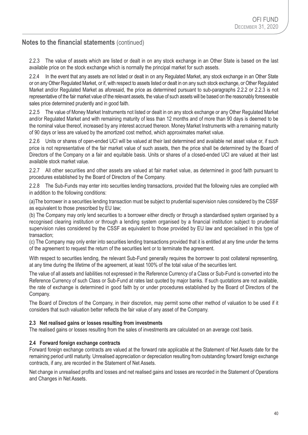2.2.3 The value of assets which are listed or dealt in on any stock exchange in an Other State is based on the last available price on the stock exchange which is normally the principal market for such assets.

2.2.4 In the event that any assets are not listed or dealt in on any Regulated Market, any stock exchange in an Other State or on any Other Regulated Market, or if, with respect to assets listed or dealt in on any such stock exchange, or Other Regulated Market and/or Regulated Market as aforesaid, the price as determined pursuant to sub-paragraphs 2.2.2 or 2.2.3 is not representative of the fair market value of the relevant assets, the value of such assets will be based on the reasonably foreseeable sales price determined prudently and in good faith.

2.2.5 The value of Money Market Instruments not listed or dealt in on any stock exchange or any Other Regulated Market and/or Regulated Market and with remaining maturity of less than 12 months and of more than 90 days is deemed to be the nominal value thereof, increased by any interest accrued thereon. Money Market Instruments with a remaining maturity of 90 days or less are valued by the amortized cost method, which approximates market value.

2.2.6 Units or shares of open-ended UCI will be valued at their last determined and available net asset value or, if such price is not representative of the fair market value of such assets, then the price shall be determined by the Board of Directors of the Company on a fair and equitable basis. Units or shares of a closed-ended UCI are valued at their last available stock market value.

2.2.7 All other securities and other assets are valued at fair market value, as determined in good faith pursuant to procedures established by the Board of Directors of the Company.

2.2.8 The Sub-Funds may enter into securities lending transactions, provided that the following rules are complied with in addition to the following conditions:

(a)The borrower in a securities lending transaction must be subject to prudential supervision rules considered by the CSSF as equivalent to those prescribed by EU law;

(b) The Company may only lend securities to a borrower either directly or through a standardised system organised by a recognised clearing institution or through a lending system organised by a financial institution subject to prudential supervision rules considered by the CSSF as equivalent to those provided by EU law and specialised in this type of transaction;

(c) The Company may only enter into securities lending transactions provided that it is entitled at any time under the terms of the agreement to request the return of the securities lent or to terminate the agreement.

With respect to securities lending, the relevant Sub-Fund generally requires the borrower to post collateral representing, at any time during the lifetime of the agreement, at least 100% of the total value of the securities lent.

The value of all assets and liabilities not expressed in the Reference Currency of a Class or Sub-Fund is converted into the Reference Currency of such Class or Sub-Fund at rates last quoted by major banks. If such quotations are not available, the rate of exchange is determined in good faith by or under procedures established by the Board of Directors of the Company.

The Board of Directors of the Company, in their discretion, may permit some other method of valuation to be used if it considers that such valuation better reflects the fair value of any asset of the Company.

### **2.3 Net realised gains or losses resulting from investments**

The realised gains or losses resulting from the sales of investments are calculated on an average cost basis.

### **2.4 Forward foreign exchange contracts**

Forward foreign exchange contracts are valued at the forward rate applicable at the Statement of Net Assets date for the remaining period until maturity. Unrealised appreciation or depreciation resulting from outstanding forward foreign exchange contracts, if any, are recorded in the Statement of Net Assets.

Net change in unrealised profits and losses and net realised gains and losses are recorded in the Statement of Operations and Changes in Net Assets.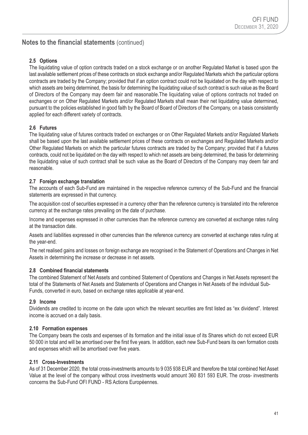### **2.5 Options**

The liquidating value of option contracts traded on a stock exchange or on another Regulated Market is based upon the last available settlement prices of these contracts on stock exchange and/or Regulated Markets which the particular options contracts are traded by the Company; provided that if an option contract could not be liquidated on the day with respect to which assets are being determined, the basis for determining the liquidating value of such contract is such value as the Board of Directors of the Company may deem fair and reasonable.The liquidating value of options contracts not traded on exchanges or on Other Regulated Markets and/or Regulated Markets shall mean their net liquidating value determined, pursuant to the policies established in good faith by the Board of Board of Directors of the Company, on a basis consistently applied for each different variety of contracts.

### **2.6 Futures**

The liquidating value of futures contracts traded on exchanges or on Other Regulated Markets and/or Regulated Markets shall be based upon the last available settlement prices of these contracts on exchanges and Regulated Markets and/or Other Regulated Markets on which the particular futures contracts are traded by the Company; provided that if a futures contracts, could not be liquidated on the day with respect to which net assets are being determined, the basis for determining the liquidating value of such contract shall be such value as the Board of Directors of the Company may deem fair and reasonable.

### **2.7 Foreign exchange translation**

The accounts of each Sub-Fund are maintained in the respective reference currency of the Sub-Fund and the financial statements are expressed in that currency.

The acquisition cost of securities expressed in a currency other than the reference currency is translated into the reference currency at the exchange rates prevailing on the date of purchase.

Income and expenses expressed in other currencies than the reference currency are converted at exchange rates ruling at the transaction date.

Assets and liabilities expressed in other currencies than the reference currency are converted at exchange rates ruling at the year-end.

The net realised gains and losses on foreign exchange are recognised in the Statement of Operations and Changes in Net Assets in determining the increase or decrease in net assets.

### **2.8 Combined financial statements**

The combined Statement of Net Assets and combined Statement of Operations and Changes in Net Assets represent the total of the Statements of Net Assets and Statements of Operations and Changes in Net Assets of the individual Sub-Funds, converted in euro, based on exchange rates applicable at year-end.

### **2.9 Income**

Dividends are credited to income on the date upon which the relevant securities are first listed as "ex dividend". Interest income is accrued on a daily basis.

### **2.10 Formation expenses**

The Company bears the costs and expenses of its formation and the initial issue of its Shares which do not exceed EUR 50 000 in total and will be amortised over the first five years. In addition, each new Sub-Fund bears its own formation costs and expenses which will be amortised over five years.

### **2.11 Cross-Investments**

As of 31 December 2020, the total cross-investments amounts to 9 035 938 EUR and therefore the total combined Net Asset Value at the level of the company without cross investments would amount 360 831 593 EUR. The cross- investments concerns the Sub-Fund OFI FUND - RS Actions Européennes.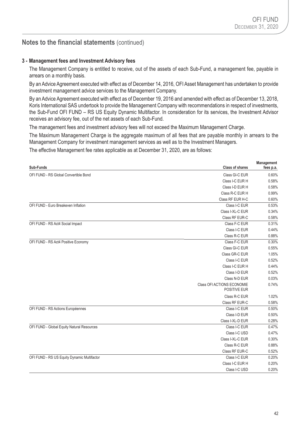**Management**

# **Notes to the financial statements** (continued)

### **3 - Management fees and Investment Advisory fees**

The Management Company is entitled to receive, out of the assets of each Sub-Fund, a management fee, payable in arrears on a monthly basis.

By an Advice Agreement executed with effect as of December 14, 2016, OFI Asset Management has undertaken to provide investment management advice services to the Management Company.

By an Advice Agreement executed with effect as of December 19, 2016 and amended with effect as of December 13, 2018, Koris International SAS undertook to provide the Management Company with recommendations in respect of investments, the Sub-Fund OFI FUND – RS US Equity Dynamic Multifactor. In consideration for its services, the Investment Advisor receives an advisory fee, out of the net assets of each Sub-Fund.

The management fees and investment advisory fees will not exceed the Maximum Management Charge.

The Maximum Management Charge is the aggregate maximum of all fees that are payable monthly in arrears to the Management Company for investment management services as well as to the Investment Managers.

The effective Management fee rates applicable as at December 31, 2020, are as follows:

| Sub-Funds                                   | <b>Class of shares</b>                     | <b>Management</b><br>fees p.a. |
|---------------------------------------------|--------------------------------------------|--------------------------------|
| OFI FUND - RS Global Convertible Bond       | Class GI-C EUR                             | 0.60%                          |
|                                             | Class I-C EUR H                            | 0.58%                          |
|                                             | Class I-D EUR H                            | 0.58%                          |
|                                             | Class R-C EUR H                            | 0.99%                          |
|                                             | Class RF EUR H-C                           | 0.60%                          |
| OFI FUND - Euro Breakeven Inflation         | Class I-C EUR                              | 0.53%                          |
|                                             | Class I-XL-C EUR                           | 0.34%                          |
|                                             | Class RF EUR-C                             | 0.58%                          |
| OFI FUND - RS Act4 Social Impact            | Class F-C EUR                              | 0.31%                          |
|                                             | Class I-C EUR                              | 0.44%                          |
|                                             | Class R-C EUR                              | 0.88%                          |
| OFI FUND - RS Act4 Positive Economy         | Class F-C EUR                              | 0.30%                          |
|                                             | Class GI-C EUR                             | 0.55%                          |
|                                             | Class GR-C EUR                             | 1.05%                          |
|                                             | Class I-C EUR                              | 0.52%                          |
|                                             | Class I-C EUR H                            | 0.44%                          |
|                                             | Class I-D EUR                              | 0.52%                          |
|                                             | Class N-D EUR                              | 0.03%                          |
|                                             | Class OFI ACTIONS ECONOMIE<br>POSITIVE EUR | 0.74%                          |
|                                             | Class R-C EUR                              | 1.02%                          |
|                                             | Class RF EUR-C                             | 0.58%                          |
| OFI FUND - RS Actions Européennes           | Class I-C EUR                              | 0.50%                          |
|                                             | Class I-D EUR                              | 0.50%                          |
|                                             | Class I-XL-D EUR                           | 0.28%                          |
| OFI FUND - Global Equity Natural Resources  | Class I-C EUR                              | 0.47%                          |
|                                             | Class I-C USD                              | 0.47%                          |
|                                             | Class I-XL-C EUR                           | 0.30%                          |
|                                             | Class R-C EUR                              | 0.88%                          |
|                                             | Class RF EUR-C                             | 0.52%                          |
| OFI FUND - RS US Equity Dynamic Multifactor | Class I-C EUR                              | 0.20%                          |
|                                             | Class I-C EUR H                            | 0.20%                          |
|                                             | Class I-C USD                              | 0.20%                          |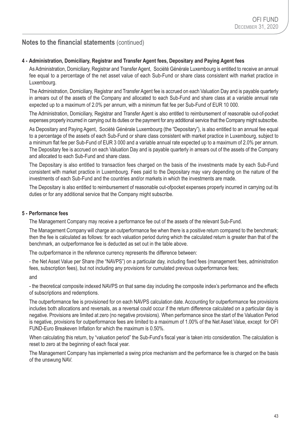### **4 - Administration, Domiciliary, Registrar and Transfer Agent fees, Depositary and Paying Agent fees**

As Administration, Domiciliary, Registrar and Transfer Agent, Société Générale Luxembourg is entitled to receive an annual fee equal to a percentage of the net asset value of each Sub-Fund or share class consistent with market practice in Luxembourg.

The Administration, Domiciliary, Registrar and Transfer Agent fee is accrued on each Valuation Day and is payable quarterly in arrears out of the assets of the Company and allocated to each Sub-Fund and share class at a variable annual rate expected up to a maximum of 2.0% per annum, with a minimum flat fee per Sub-Fund of EUR 10 000.

The Administration, Domiciliary, Registrar and Transfer Agent is also entitled to reimbursement of reasonable out-of-pocket expenses properly incurred in carrying out its duties or the payment for any additional service that the Company might subscribe.

As Depositary and Paying Agent, Société Générale Luxembourg (the "Depositary"), is also entitled to an annual fee equal to a percentage of the assets of each Sub-Fund or share class consistent with market practice in Luxembourg, subject to a minimum flat fee per Sub-Fund of EUR 3 000 and a variable annual rate expected up to a maximum of 2.0% per annum. The Depositary fee is accrued on each Valuation Day and is payable quarterly in arrears out of the assets of the Company and allocated to each Sub-Fund and share class.

The Depositary is also entitled to transaction fees charged on the basis of the investments made by each Sub-Fund consistent with market practice in Luxembourg. Fees paid to the Depositary may vary depending on the nature of the investments of each Sub-Fund and the countries and/or markets in which the investments are made.

The Depositary is also entitled to reimbursement of reasonable out-ofpocket expenses properly incurred in carrying out its duties or for any additional service that the Company might subscribe.

### **5 - Performance fees**

The Management Company may receive a performance fee out of the assets of the relevant Sub-Fund.

The Management Company will charge an outperformance fee when there is a positive return compared to the benchmark; then the fee is calculated as follows: for each valuation period during which the calculated return is greater than that of the benchmark, an outperformance fee is deducted as set out in the table above.

The outperformance in the reference currency represents the difference between:

- the Net Asset Value per Share (the "NAVPS") on a particular day, including fixed fees (management fees, administration fees, subscription fees), but not including any provisions for cumulated previous outperformance fees;

and

- the theoretical composite indexed NAVPS on that same day including the composite index's performance and the effects of subscriptions and redemptions.

The outperformance fee is provisioned for on each NAVPS calculation date. Accounting for outperformance fee provisions includes both allocations and reversals, as a reversal could occur if the return difference calculated on a particular day is negative. Provisions are limited at zero (no negative provisions). When performance since the start of the Valuation Period is negative, provisions for outperformance fees are limited to a maximum of 1.00% of the Net Asset Value, except for OFI FUND-Euro Breakeven Inflation for which the maximum is 0.50%.

When calculating this return, by "valuation period" the Sub-Fund's fiscal year is taken into consideration. The calculation is reset to zero at the beginning of each fiscal year.

The Management Company has implemented a swing price mechanism and the performance fee is charged on the basis of the unswung NAV.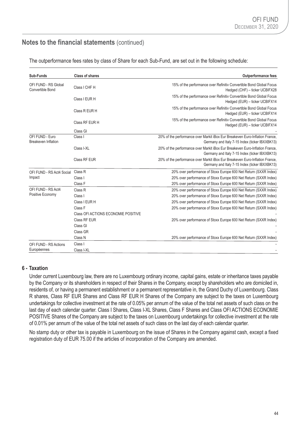| Sub-Funds                                       | <b>Class of shares</b>              | <b>Outperformance fees</b>                                                                                                     |
|-------------------------------------------------|-------------------------------------|--------------------------------------------------------------------------------------------------------------------------------|
| OFI FUND - RS Global<br><b>Convertible Bond</b> | Class I CHF H                       | 15% of the performance over Refinitiv Convertible Bond Global Focus<br>Hedged (CHF) - ticker UCBIFX28                          |
|                                                 | Class   EUR H                       | 15% of the performance over Refinitiv Convertible Bond Global Focus<br>Hedged (EUR) - ticker UCBIFX14                          |
|                                                 | Class R EUR H                       | 15% of the performance over Refinitiv Convertible Bond Global Focus<br>Hedged (EUR) - ticker UCBIFX14                          |
|                                                 | Class RF EUR H                      | 15% of the performance over Refinitiv Convertible Bond Global Focus<br>Hedged (EUR) - ticker UCBIFX14                          |
|                                                 | Class GI                            |                                                                                                                                |
| OFI FUND - Euro<br><b>Breakeven Inflation</b>   | Class I                             | 20% of the performance over Markit iBox Eur Breakeven Euro-Inflation France,<br>Germany and Italy 7-15 Index (ticker IBXXBK13) |
|                                                 | Class I-XL                          | 20% of the performance over Markit iBox Eur Breakeven Euro-Inflation France,<br>Germany and Italy 7-15 Index (ticker IBXXBK13) |
|                                                 | Class RF EUR                        | 20% of the performance over Markit iBox Eur Breakeven Euro-Inflation France,<br>Germany and Italy 7-15 Index (ticker IBXXBK13) |
| OFI FUND - RS Act4 Social                       | Class <sub>R</sub>                  | 20% over performance of Stoxx Europe 600 Net Return (SXXR Index)                                                               |
| Impact                                          | Class I                             | 20% over performance of Stoxx Europe 600 Net Return (SXXR Index)                                                               |
|                                                 | Class F                             | 20% over performance of Stoxx Europe 600 Net Return (SXXR Index)                                                               |
| OFI FUND - RS Act4                              | Class <sub>R</sub>                  | 20% over performance of Stoxx Europe 600 Net Return (SXXR Index)                                                               |
| Positive Economy                                | Class I                             | 20% over performance of Stoxx Europe 600 Net Return (SXXR Index)                                                               |
|                                                 | Class I EUR H                       | 20% over performance of Stoxx Europe 600 Net Return (SXXR Index)                                                               |
|                                                 | Class F                             | 20% over performance of Stoxx Europe 600 Net Return (SXXR Index)                                                               |
|                                                 | Class OFI ACTIONS ECONOMIE POSITIVE |                                                                                                                                |
|                                                 | Class RF EUR                        | 20% over performance of Stoxx Europe 600 Net Return (SXXR Index)                                                               |
|                                                 | Class GI                            |                                                                                                                                |
|                                                 | Class GR                            |                                                                                                                                |
|                                                 | Class N                             | 20% over performance of Stoxx Europe 600 Net Return (SXXR Index)                                                               |
| OFI FUND - RS Actions                           | Class I                             |                                                                                                                                |
| Européennes                                     | Class I-XL                          |                                                                                                                                |

The outperformance fees rates by class of Share for each Sub-Fund, are set out in the following schedule:

### **6 - Taxation**

Under current Luxembourg law, there are no Luxembourg ordinary income, capital gains, estate or inheritance taxes payable by the Company or its shareholders in respect of their Shares in the Company, except by shareholders who are domiciled in, residents of, or having a permanent establishment or a permanent representative in, the Grand Duchy of Luxembourg. Class R shares, Class RF EUR Shares and Class RF EUR H Shares of the Company are subject to the taxes on Luxembourg undertakings for collective investment at the rate of 0.05% per annum of the value of the total net assets of such class on the last day of each calendar quarter. Class I Shares, Class I-XL Shares, Class F Shares and Class OFI ACTIONS ECONOMIE POSITIVE Shares of the Company are subject to the taxes on Luxembourg undertakings for collective investment at the rate of 0.01% per annum of the value of the total net assets of such class on the last day of each calendar quarter.

No stamp duty or other tax is payable in Luxembourg on the issue of Shares in the Company against cash, except a fixed registration duty of EUR 75.00 if the articles of incorporation of the Company are amended.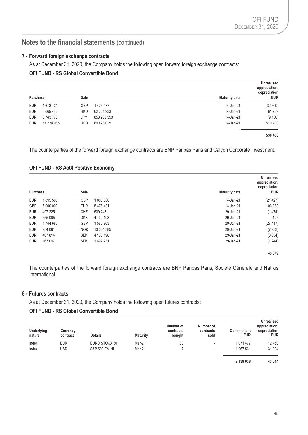### **7 - Forward foreign exchange contracts**

As at December 31, 2020, the Company holds the following open forward foreign exchange contracts:

# **OFI FUND - RS Global Convertible Bond**

| Purchase   |               | Sale       |             | <b>Maturity date</b> | <b>Unrealised</b><br>appreciation/<br>depreciation<br><b>EUR</b> |
|------------|---------------|------------|-------------|----------------------|------------------------------------------------------------------|
| <b>EUR</b> | 1613121       | <b>GBP</b> | 1 473 437   | 14-Jan-21            | (32609)                                                          |
| <b>EUR</b> | 6 6 6 9 4 4 5 | <b>HKD</b> | 62 701 933  | 14-Jan-21            | 61759                                                            |
| <b>EUR</b> | 6743778       | JPY        | 853 209 350 | 14-Jan-21            | (9 150)                                                          |
| <b>EUR</b> | 57 234 965    | <b>USD</b> | 69 423 025  | 14-Jan-21            | 510 400                                                          |
|            |               |            |             |                      | 530 400                                                          |

The counterparties of the forward foreign exchange contracts are BNP Paribas Paris and Calyon Corporate Investment.

# **OFI FUND - RS Act4 Positive Economy**

|            |           |            |            |                      | <b>Unrealised</b><br>appreciation/<br>depreciation |
|------------|-----------|------------|------------|----------------------|----------------------------------------------------|
| Purchase   |           | Sale       |            | <b>Maturity date</b> | <b>EUR</b>                                         |
| <b>EUR</b> | 1 095 506 | <b>GBP</b> | 1 000 000  | 14-Jan-21            | (21 427)                                           |
| <b>GBP</b> | 5 000 000 | <b>EUR</b> | 5478431    | 14-Jan-21            | 106 233                                            |
| <b>EUR</b> | 497 225   | CHF        | 539 248    | 29-Jan-21            | (1474)                                             |
| <b>EUR</b> | 555 095   | <b>DKK</b> | 4 130 198  | 29-Jan-21            | 195                                                |
| <b>EUR</b> | 1744 686  | <b>GBP</b> | 1586963    | 29-Jan-21            | (27 417)                                           |
| <b>EUR</b> | 954 091   | <b>NOK</b> | 10 084 385 | 29-Jan-21            | (7933)                                             |
| <b>EUR</b> | 407 814   | <b>SEK</b> | 4 130 198  | 29-Jan-21            | (3054)                                             |
| <b>EUR</b> | 167 097   | <b>SEK</b> | 1692231    | 29-Jan-21            | (1244)                                             |
|            |           |            |            |                      | 43 879                                             |

The counterparties of the forward foreign exchange contracts are BNP Paribas Paris, Société Générale and Natixis International.

### **8 - Futures contracts**

As at December 31, 2020, the Company holds the following open futures contracts:

# **OFI FUND - RS Global Convertible Bond**

| <b>Underlying</b><br>nature | Currency<br>contract | <b>Details</b>           | <b>Maturity</b> | Number of<br>contracts<br>bought | Number of<br>contracts<br>sold | <b>Commitment</b><br><b>EUR</b> | <b>Unrealised</b><br>appreciation/<br>depreciation<br><b>EUR</b> |
|-----------------------------|----------------------|--------------------------|-----------------|----------------------------------|--------------------------------|---------------------------------|------------------------------------------------------------------|
| Index                       | <b>EUR</b>           | EURO STOXX 50            | Mar-21          | 30                               | $\,$                           | 1 071 477                       | 12 450                                                           |
| Index                       | <b>USD</b>           | <b>S&amp;P 500 EMINI</b> | Mar-21          |                                  | ٠                              | 1 067 561                       | 31 094                                                           |
|                             |                      |                          |                 |                                  |                                | 2 139 038                       | 43 544                                                           |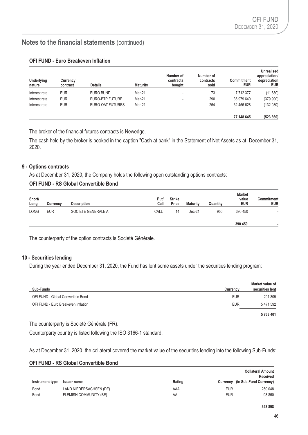| <b>Underlying</b><br>nature | Currency<br>contract | Details          | <b>Maturity</b> | Number of<br>contracts<br>bought | Number of<br>contracts<br>sold | Commitment<br>EUR | <b>Unrealised</b><br>appreciation/<br>depreciation<br><b>EUR</b> |
|-----------------------------|----------------------|------------------|-----------------|----------------------------------|--------------------------------|-------------------|------------------------------------------------------------------|
| Interest rate               | <b>EUR</b>           | EURO BUND        | Mar-21          | $\,$                             | 73                             | 7712377           | (11680)                                                          |
| Interest rate               | <b>EUR</b>           | EURO-BTP FUTURE  | Mar-21          | $\,$                             | 290                            | 36 979 640        | (379900)                                                         |
| Interest rate               | <b>EUR</b>           | EURO-OAT FUTURES | Mar-21          | -                                | 254                            | 32 456 628        | (132080)                                                         |
|                             |                      |                  |                 |                                  |                                | 77 148 645        | (523660)                                                         |

### **OFI FUND - Euro Breakeven Inflation**

The broker of the financial futures contracts is Newedge.

The cash held by the broker is booked in the caption "Cash at bank" in the Statement of Net Assets as at December 31, 2020.

### **9 - Options contracts**

As at December 31, 2020, the Company holds the following open outstanding options contracts:

### **OFI FUND - RS Global Convertible Bond**

| Short/<br>Long | Currency   | <b>Description</b> | Put/<br>Call | <b>Strike</b><br>Price | <b>Maturity</b> | Quantity | <b>Market</b><br>value<br><b>EUR</b> | <b>Commitment</b><br><b>EUR</b> |
|----------------|------------|--------------------|--------------|------------------------|-----------------|----------|--------------------------------------|---------------------------------|
| <b>LONG</b>    | <b>EUR</b> | SOCIETE GENERALE A | CALL         | 14                     | $Dec-21$        | 950      | 390 450                              | $\,$                            |
|                |            |                    |              |                        |                 |          | 390 450                              |                                 |

The counterparty of the option contracts is Société Générale.

### **10 - Securities lending**

During the year ended December 31, 2020, the Fund has lent some assets under the securities lending program:

|                                     |                 | <b>Market value of</b> |
|-------------------------------------|-----------------|------------------------|
| Sub-Funds                           | <b>Currency</b> | securities lent        |
| OFI FUND - Global Convertible Bond  | <b>EUR</b>      | 291 809                |
| OFI FUND - Euro Breakeven Inflation | <b>EUR</b>      | 5471592                |
|                                     |                 | 5763401                |

The counterparty is Société Générale (FR).

Counterparty country is listed following the ISO 3166-1 standard.

As at December 31, 2020, the collateral covered the market value of the securities lending into the following Sub-Funds:

#### **OFI FUND - RS Global Convertible Bond**

|                 |                         |        |            | <b>Collateral Amount</b><br>Received |
|-----------------|-------------------------|--------|------------|--------------------------------------|
| Instrument type | <b>Issuer name</b>      | Rating | Currency   | (in Sub-Fund Currency)               |
| <b>Bond</b>     | LAND NIEDERSACHSEN (DE) | AAA    | <b>EUR</b> | 250 048                              |
| <b>Bond</b>     | FLEMISH COMMUNITY (BE)  | AA     | <b>EUR</b> | 98 850                               |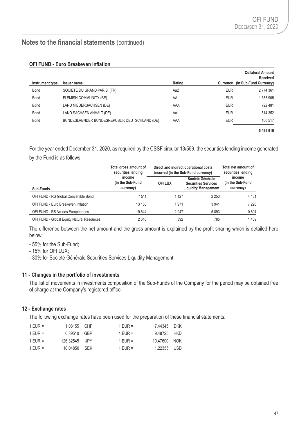|                 |                                               |        |            | <b>Collateral Amount</b><br><b>Received</b> |
|-----------------|-----------------------------------------------|--------|------------|---------------------------------------------|
| Instrument type | <b>Issuer name</b>                            | Rating | Currency   | (in Sub-Fund Currency)                      |
| <b>Bond</b>     | SOCIETE DU GRAND PARIS (FR)                   | Aa2    | <b>EUR</b> | 2 774 361                                   |
| Bond            | <b>FLEMISH COMMUNITY (BE)</b>                 | AA     | <b>EUR</b> | 1 383 905                                   |
| Bond            | LAND NIEDERSACHSEN (DE)                       | AAA    | <b>EUR</b> | 722 481                                     |
| Bond            | LAND SACHSEN ANHALT (DE)                      | Aa1    | <b>EUR</b> | 514 352                                     |
| <b>Bond</b>     | BUNDESLAENDER BUNDESREPUBLIK DEUTSCHLAND (DE) | AAA    | <b>EUR</b> | 100 517                                     |
|                 |                                               |        |            | 5495616                                     |

For the year ended December 31, 2020, as required by the CSSF circular 13/559, the securities lending income generated by the Fund is as follows:

|                                            | Total gross amount of<br>Direct and indirect operational costs<br>securities lending<br>incurred (in the Sub-Fund currency) |         |                                                                               | Total net amount of<br>securities lending |  |
|--------------------------------------------|-----------------------------------------------------------------------------------------------------------------------------|---------|-------------------------------------------------------------------------------|-------------------------------------------|--|
| Sub-Funds                                  | income<br>(in the Sub-Fund<br>currency)                                                                                     | OFI LUX | Société Générale<br><b>Securities Services</b><br><b>Liquidity Management</b> | income<br>(in the Sub-Fund<br>currency)   |  |
| OFI FUND - RS Global Convertible Bond      | 7511                                                                                                                        | 1 1 2 7 | 2 2 5 3                                                                       | 4 1 3 1                                   |  |
| OFI FUND - Euro Breakeven Inflation        | 13 138                                                                                                                      | 1971    | 3 9 4 1                                                                       | 7 2 2 6                                   |  |
| OFI FUND - RS Actions Européennes          | 19644                                                                                                                       | 2947    | 5893                                                                          | 10 804                                    |  |
| OFI FUND - Global Equity Natural Resources | 2616                                                                                                                        | 392     | 785                                                                           | 1439                                      |  |

The difference between the net amount and the gross amount is explained by the profit sharing which is detailed here below:

- 55% for the Sub-Fund;
- 15% for OFI LUX;
- 30% for Société Générale Securities Services Liquidity Management.

### **11 - Changes in the portfolio of investments**

The list of movements in investments composition of the Sub-Funds of the Company for the period may be obtained free of charge at the Company's registered office.

### **12 - Exchange rates**

The following exchange rates have been used for the preparation of these financial statements:

| 1 EUR = | 1.08155 CHF   | 1 EUR =   | 7.44345 DKK  |  |
|---------|---------------|-----------|--------------|--|
| 1 EUR = | 0.89510 GBP   | 1 FUR $=$ | 9.48725 HKD  |  |
| 1 FUR = | 126.32545 JPY | 1 FUR $=$ | 10.47600 NOK |  |
| 1 EUR = | 10.04850 SEK  | 1 FUR $=$ | 1.22355 USD  |  |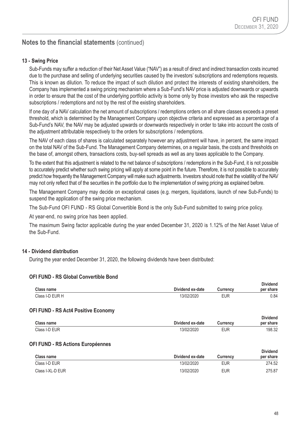### **13 - Swing Price**

Sub-Funds may suffer a reduction of their Net Asset Value ("NAV") as a result of direct and indirect transaction costs incurred due to the purchase and selling of underlying securities caused by the investors' subscriptions and redemptions requests. This is known as dilution. To reduce the impact of such dilution and protect the interests of existing shareholders, the Company has implemented a swing pricing mechanism where a Sub-Fund's NAV price is adjusted downwards or upwards in order to ensure that the cost of the underlying portfolio activity is borne only by those investors who ask the respective subscriptions / redemptions and not by the rest of the existing shareholders.

If one day of a NAV calculation the net amount of subscriptions / redemptions orders on all share classes exceeds a preset threshold, which is determined by the Management Company upon objective criteria and expressed as a percentage of a Sub-Fund's NAV, the NAV may be adjusted upwards or downwards respectively in order to take into account the costs of the adjustment attributable respectively to the orders for subscriptions / redemptions.

The NAV of each class of shares is calculated separately however any adjustment will have, in percent, the same impact on the total NAV of the Sub-Fund. The Management Company determines, on a regular basis, the costs and thresholds on the base of, amongst others, transactions costs, buy-sell spreads as well as any taxes applicable to the Company.

To the extent that this adjustment is related to the net balance of subscriptions / redemptions in the Sub-Fund, it is not possible to accurately predict whether such swing pricing will apply at some point in the future. Therefore, it is not possible to accurately predict how frequently the Management Company will make such adjustments. Investors should note that the volatility of the NAV may not only reflect that of the securities in the portfolio due to the implementation of swing pricing as explained before.

The Management Company may decide on exceptional cases (e.g. mergers, liquidations, launch of new Sub-Funds) to suspend the application of the swing price mechanism.

The Sub-Fund OFI FUND - RS Global Convertible Bond is the only Sub-Fund submitted to swing price policy.

At year-end, no swing price has been applied.

The maximum Swing factor applicable during the year ended December 31, 2020 is 1.12% of the Net Asset Value of the Sub-Fund.

### **14 - Dividend distribution**

During the year ended December 31, 2020, the following dividends have been distributed:

#### **OFI FUND - RS Global Convertible Bond**

| Class name                                 | Dividend ex-date | <b>Currency</b> | <b>Dividend</b><br>per share |
|--------------------------------------------|------------------|-----------------|------------------------------|
| Class I-D EUR H                            | 13/02/2020       | <b>EUR</b>      | 0.84                         |
| <b>OFI FUND - RS Act4 Positive Economy</b> |                  |                 |                              |
| Class name                                 | Dividend ex-date | <b>Currency</b> | <b>Dividend</b><br>per share |
| Class I-D EUR                              | 13/02/2020       | <b>EUR</b>      | 198.32                       |
| <b>OFI FUND - RS Actions Européennes</b>   |                  |                 |                              |
| $\sim$                                     |                  |                 | <b>Dividend</b>              |

| <b>Class name</b> | Dividend ex-date | Currencv   | --------<br>per share |
|-------------------|------------------|------------|-----------------------|
| Class I-D EUR     | 13/02/2020       | <b>EUR</b> | 274.52                |
| Class I-XL-D EUR  | 13/02/2020       | <b>EUR</b> | 275.87                |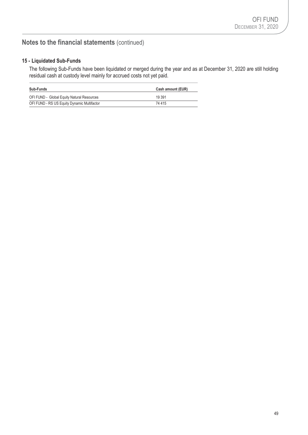# **15 - Liquidated Sub-Funds**

The following Sub-Funds have been liquidated or merged during the year and as at December 31, 2020 are still holding residual cash at custody level mainly for accrued costs not yet paid.

| <b>Sub-Funds</b>                            | Cash amount (EUR) |
|---------------------------------------------|-------------------|
| OFI FUND - Global Equity Natural Resources  | 19 391            |
| OFI FUND - RS US Equity Dynamic Multifactor | 74 415            |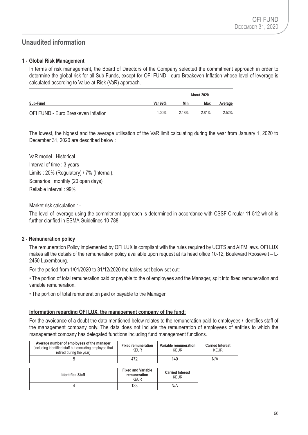# **Unaudited information**

### **1 - Global Risk Management**

In terms of risk management, the Board of Directors of the Company selected the commitment approach in order to determine the global risk for all Sub-Funds, except for OFI FUND - euro Breakeven Inflation whose level of leverage is calculated according to Value-at-Risk (VaR) approach.

|                                     |         | <b>About 2020</b> |       |         |
|-------------------------------------|---------|-------------------|-------|---------|
| Sub-Fund                            | Var 99% | Min               | Max   | Average |
| OFI FUND - Euro Breakeven Inflation | 1.00%   | 2.18%             | 2.81% | 2.52%   |

The lowest, the highest and the average utilisation of the VaR limit calculating during the year from January 1, 2020 to December 31, 2020 are described below :

VaR model : Historical Interval of time : 3 years Limits : 20% (Regulatory) / 7% (Internal). Scenarios : monthly (20 open days) Reliable interval : 99%

Market risk calculation : -

The level of leverage using the commitment approach is determined in accordance with CSSF Circular 11-512 which is further clarified in ESMA Guidelines 10-788.

### **2 - Remuneration policy**

The remuneration Policy implemented by OFI LUX is compliant with the rules required by UCITS and AIFM laws. OFI LUX makes all the details of the remuneration policy available upon request at its head office 10-12, Boulevard Roosevelt – L-2450 Luxembourg.

For the period from 1/01/2020 to 31/12/2020 the tables set below set out:

• The portion of total remuneration paid or payable to the of employees and the Manager, split into fixed remuneration and variable remuneration.

• The portion of total remuneration paid or payable to the Manager.

### **Information regarding OFI LUX, the management company of the fund:**

For the avoidance of a doubt the data mentioned below relates to the remuneration paid to employees / identifies staff of the management company only. The data does not include the remuneration of employees of entities to which the management company has delegated functions including fund management functions.

| Average number of employees of the manager<br>(including identified staff but excluding employee that<br>retired during the year) | <b>Fixed remuneration</b><br><b>KEUR</b> | Variable remuneration<br>KFUR | <b>Carried Interest</b><br><b>KEUR</b> |
|-----------------------------------------------------------------------------------------------------------------------------------|------------------------------------------|-------------------------------|----------------------------------------|
|                                                                                                                                   |                                          | 140                           | N/A                                    |

| <b>Identified Staff</b> | <b>Fixed and Variable</b><br>remuneration<br><b>KEUR</b> | <b>Carried Interest</b><br>KEUR |
|-------------------------|----------------------------------------------------------|---------------------------------|
|                         | 133                                                      | N/A                             |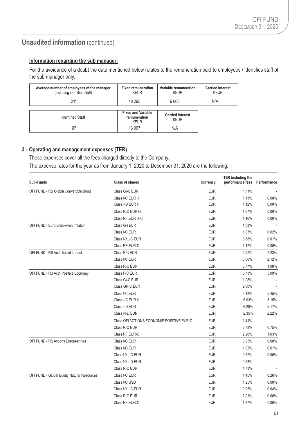# **Unaudited information (continued)**

# **Information regarding the sub manager:**

For the avoidance of a doubt the data mentioned below relates to the remuneration paid to employees / identifies staff of the sub manager only.

| Average number of employees of the manager<br>(including identified staff) | <b>Fixed remuneration</b><br><b>KEUR</b>                 | Variable remuneration<br><b>KEUR</b>   | <b>Carried Interest</b><br><b>KEUR</b> |
|----------------------------------------------------------------------------|----------------------------------------------------------|----------------------------------------|----------------------------------------|
| 211                                                                        | 18 265                                                   | 6 6 6 3                                | N/A                                    |
| <b>Identified Staff</b>                                                    | <b>Fixed and Variable</b><br>remuneration<br><b>KEUR</b> | <b>Carried Interest</b><br><b>KEUR</b> |                                        |
| 97                                                                         | 16 097                                                   | N/A                                    |                                        |

### **3 - Operating and management expenses (TER)**

These expenses cover all the fees charged directly to the Company.

The expense rates for the year as from January 1, 2020 to December 31, 2020 are the following:

| Sub-Funds                                  | <b>Class of shares</b>                    | <b>Currency</b> | <b>TER including the</b><br>performance fees | Performance |
|--------------------------------------------|-------------------------------------------|-----------------|----------------------------------------------|-------------|
| OFI FUND - RS Global Convertible Bond      | Class GI-C EUR                            | <b>EUR</b>      | 1.11%                                        |             |
|                                            | Class I-C EUR H                           | <b>EUR</b>      | 1.13%                                        | 0.00%       |
|                                            | Class I-D EUR H                           | <b>EUR</b>      | 1.12%                                        | 0.00%       |
|                                            | Class R-C EUR H                           | <b>EUR</b>      | 1.87%                                        | 0.00%       |
|                                            | Class RF EUR H-C                          | <b>EUR</b>      | 1.16%                                        | 0.00%       |
| OFI FUND - Euro Breakeven Inflation        | Class G-I EUR                             | <b>EUR</b>      | 1.03%                                        |             |
|                                            | Class I-C EUR                             | <b>EUR</b>      | 1.03%                                        | 0.02%       |
|                                            | Class I-XL-C EUR                          | <b>EUR</b>      | 0.68%                                        | 0.01%       |
|                                            | Class RF EUR-C                            | <b>EUR</b>      | 1.12%                                        | 0.00%       |
| OFI FUND - RS Act4 Social Impact           | Class F-C EUR                             | <b>EUR</b>      | 2.92%                                        | 2.23%       |
|                                            | Class I-C EUR                             | <b>EUR</b>      | 3.06%                                        | 2.12%       |
|                                            | Class R-C EUR                             | <b>EUR</b>      | 3.77%                                        | 1.98%       |
| OFI FUND - RS Act4 Positive Economy        | Class F-C EUR                             | <b>EUR</b>      | 5.73%                                        | 5.09%       |
|                                            | Class GI-C EUR                            | <b>EUR</b>      | 1.08%                                        |             |
|                                            | Class GR-C EUR                            | <b>EUR</b>      | 2.00%                                        |             |
|                                            | Class I-C EUR                             | <b>EUR</b>      | 6.48%                                        | 5.45%       |
|                                            | Class I-C EUR H                           | <b>EUR</b>      | 6.03%                                        | 5.15%       |
|                                            | Class I-D EUR                             | <b>EUR</b>      | 6.20%                                        | 5.17%       |
|                                            | Class N-D EUR                             | <b>EUR</b>      | 2.35%                                        | 2.22%       |
|                                            | Class OFI ACTIONS ECONOMIE POSITIVE EUR-C | <b>EUR</b>      | 1.41%                                        |             |
|                                            | Class R-C EUR                             | <b>EUR</b>      | 2.73%                                        | 0.75%       |
|                                            | Class RF EUR-C                            | <b>EUR</b>      | 2.20%                                        | 1.03%       |
| OFI FUND - RS Actions Européennes          | Class I-C EUR                             | <b>EUR</b>      | 0.95%                                        | 0.00%       |
|                                            | Class I-D EUR                             | <b>EUR</b>      | 1.02%                                        | 0.01%       |
|                                            | Class I-XL-C EUR                          | <b>EUR</b>      | 0.52%                                        | 0.00%       |
|                                            | Class I-XL-D EUR                          | <b>EUR</b>      | 0.53%                                        |             |
|                                            | Class R-C EUR                             | <b>EUR</b>      | 1.73%                                        |             |
| OFI FUND - Global Equity Natural Resources | Class I-C EUR                             | <b>EUR</b>      | 1.45%                                        | 0.26%       |
|                                            | Class I-C USD                             | <b>EUR</b>      | 1.25%                                        | 0.00%       |
|                                            | Class I-XL-C EUR                          | <b>EUR</b>      | 0.95%                                        | 0.04%       |
|                                            | Class R-C EUR                             | <b>EUR</b>      | 2.01%                                        | 0.00%       |
|                                            | Class RF EUR-C                            | <b>EUR</b>      | 1.37%                                        | 0.00%       |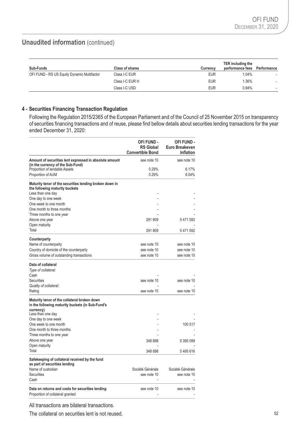# **Unaudited information** (continued)

| Sub-Funds                                   | Class of shares | <b>Currency</b> | TER including the<br>performance fees | Performance |
|---------------------------------------------|-----------------|-----------------|---------------------------------------|-------------|
| OFI FUND - RS US Equity Dynamic Multifactor | Class I-C EUR   | <b>EUR</b>      | 1.04%                                 |             |
|                                             | Class I-C EUR H | <b>EUR</b>      | $1.36\%$                              |             |
|                                             | Class I-C USD   | <b>EUR</b>      | $0.94\%$                              |             |

### **4 - Securities Financing Transaction Regulation**

Following the Regulation 2015/2365 of the European Parliament and of the Council of 25 November 2015 on transparency of securities financing transactions and of reuse, please find bellow details about securities lending transactions for the year ended December 31, 2020:

|                                                                                                               | OFI FUND -<br><b>RS Global</b><br><b>Convertible Bond</b> | OFI FUND -<br>Euro Breakeven<br><b>Inflation</b> |
|---------------------------------------------------------------------------------------------------------------|-----------------------------------------------------------|--------------------------------------------------|
| Amount of securities lent expressed in absolute amount<br>(in the currency of the Sub-Fund)                   | see note 10                                               | see note 10                                      |
| Proportion of lendable Assets                                                                                 | 0.29%                                                     | 6.17%                                            |
| Proportion of AUM                                                                                             | 0.29%                                                     | 6.04%                                            |
| Maturity tenor of the securities lending broken down in<br>the following maturity buckets                     |                                                           |                                                  |
| Less than one day                                                                                             |                                                           |                                                  |
| One day to one week                                                                                           |                                                           |                                                  |
| One week to one month                                                                                         |                                                           |                                                  |
| One month to three months                                                                                     |                                                           |                                                  |
| Three months to one year                                                                                      |                                                           |                                                  |
| Above one year                                                                                                | 291 809                                                   | 5471592                                          |
| Open maturity<br>Total                                                                                        | 291 809                                                   |                                                  |
|                                                                                                               |                                                           | 5 471 592                                        |
| Counterparty                                                                                                  |                                                           |                                                  |
| Name of counterparty                                                                                          | see note 10                                               | see note 10                                      |
| Country of domicile of the counterparty                                                                       | see note 10                                               | see note 10                                      |
| Gross volume of outstanding transactions                                                                      | see note 10                                               | see note 10                                      |
| Data of collateral<br>Type of collateral:                                                                     |                                                           |                                                  |
| Cash                                                                                                          |                                                           |                                                  |
| Securities                                                                                                    | see note 10                                               | see note 10                                      |
| Quality of collateral:                                                                                        |                                                           |                                                  |
| Rating                                                                                                        | see note 10                                               | see note 10                                      |
| Maturity tenor of the collateral broken down<br>in the following maturity buckets (in Sub-Fund's<br>currency) |                                                           |                                                  |
| Less than one day                                                                                             |                                                           |                                                  |
| One day to one week                                                                                           |                                                           |                                                  |
| One week to one month                                                                                         |                                                           | 100 517                                          |
| One month to three months                                                                                     |                                                           |                                                  |
| Three months to one year                                                                                      |                                                           |                                                  |
| Above one year                                                                                                | 348 898                                                   | 5 395 099                                        |
| Open maturity<br>Total                                                                                        | 348 898                                                   | 5495616                                          |
|                                                                                                               |                                                           |                                                  |
| Safekeeping of collateral received by the fund<br>as part of securities lending                               |                                                           |                                                  |
| Name of custodian                                                                                             | Société Générale                                          | Société Générale                                 |
| Securities                                                                                                    | see note 10                                               | see note 10                                      |
| Cash                                                                                                          |                                                           |                                                  |
| Data on returns and costs for securities lending<br>Proportion of collateral granted                          | see note 10                                               | see note 10                                      |

All transactions are bilateral transactions.

The collateral on securities lent is not reused.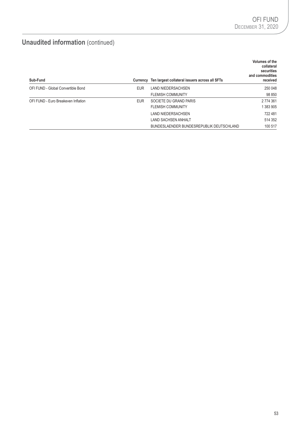# **Unaudited information** (continued)

| Sub-Fund                            |            | Currency Ten largest collateral issuers across all SFTs | Volumes of the<br>collateral<br>securities<br>and commodities<br>received |
|-------------------------------------|------------|---------------------------------------------------------|---------------------------------------------------------------------------|
| OFI FUND - Global Convertible Bond  | <b>EUR</b> | <b>LAND NIEDERSACHSEN</b>                               | 250 048                                                                   |
|                                     |            | <b>FLEMISH COMMUNITY</b>                                | 98 850                                                                    |
| OFI FUND - Euro Breakeven Inflation | <b>EUR</b> | SOCIETE DU GRAND PARIS                                  | 2 774 361                                                                 |
|                                     |            | <b>FLEMISH COMMUNITY</b>                                | 1 383 905                                                                 |
|                                     |            | <b>LAND NIEDERSACHSEN</b>                               | 722 481                                                                   |
|                                     |            | <b>LAND SACHSEN ANHALT</b>                              | 514 352                                                                   |
|                                     |            | BUNDESLAENDER BUNDESREPUBLIK DEUTSCHLAND                | 100 517                                                                   |